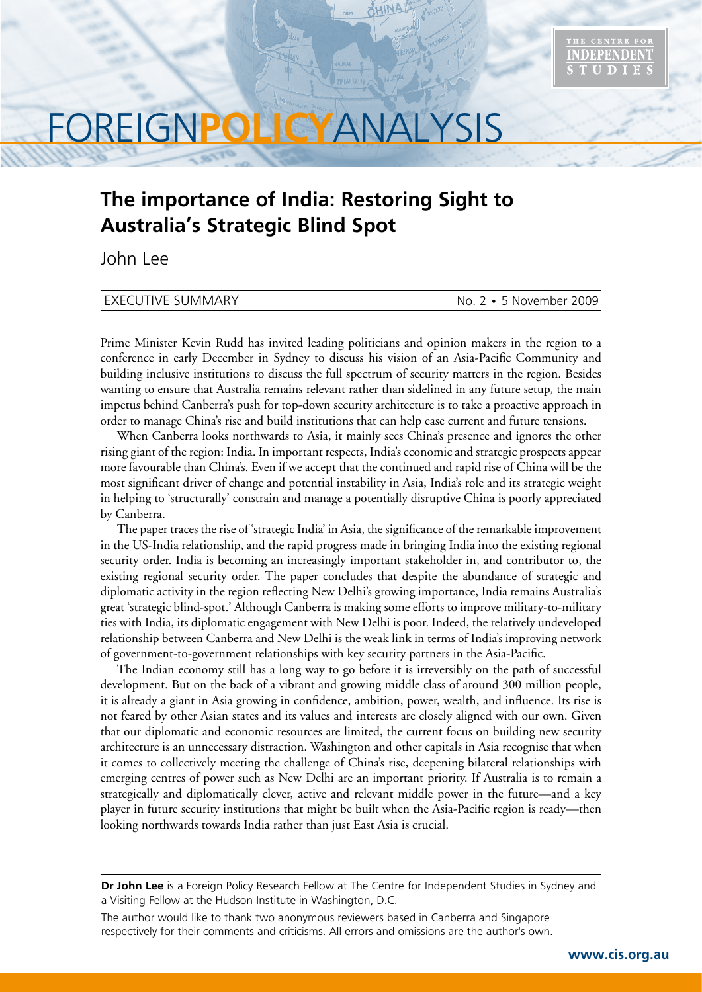

# FOREIGN**POLICY**ANALYSIS

# **The importance of India: Restoring Sight to Australia's Strategic Blind Spot**

John Lee

# EXECUTIVE SUMMARY **No. 2 • 5 November 2009**

Prime Minister Kevin Rudd has invited leading politicians and opinion makers in the region to a conference in early December in Sydney to discuss his vision of an Asia-Pacific Community and building inclusive institutions to discuss the full spectrum of security matters in the region. Besides wanting to ensure that Australia remains relevant rather than sidelined in any future setup, the main impetus behind Canberra's push for top-down security architecture is to take a proactive approach in order to manage China's rise and build institutions that can help ease current and future tensions.

When Canberra looks northwards to Asia, it mainly sees China's presence and ignores the other rising giant of the region: India. In important respects, India's economic and strategic prospects appear more favourable than China's. Even if we accept that the continued and rapid rise of China will be the most significant driver of change and potential instability in Asia, India's role and its strategic weight in helping to 'structurally' constrain and manage a potentially disruptive China is poorly appreciated by Canberra.

The paper traces the rise of 'strategic India' in Asia, the significance of the remarkable improvement in the US-India relationship, and the rapid progress made in bringing India into the existing regional security order. India is becoming an increasingly important stakeholder in, and contributor to, the existing regional security order. The paper concludes that despite the abundance of strategic and diplomatic activity in the region reflecting New Delhi's growing importance, India remains Australia's great 'strategic blind-spot.' Although Canberra is making some efforts to improve military-to-military ties with India, its diplomatic engagement with New Delhi is poor. Indeed, the relatively undeveloped relationship between Canberra and New Delhi is the weak link in terms of India's improving network of government-to-government relationships with key security partners in the Asia-Pacific.

The Indian economy still has a long way to go before it is irreversibly on the path of successful development. But on the back of a vibrant and growing middle class of around 300 million people, it is already a giant in Asia growing in confidence, ambition, power, wealth, and influence. Its rise is not feared by other Asian states and its values and interests are closely aligned with our own. Given that our diplomatic and economic resources are limited, the current focus on building new security architecture is an unnecessary distraction. Washington and other capitals in Asia recognise that when it comes to collectively meeting the challenge of China's rise, deepening bilateral relationships with emerging centres of power such as New Delhi are an important priority. If Australia is to remain a strategically and diplomatically clever, active and relevant middle power in the future—and a key player in future security institutions that might be built when the Asia-Pacific region is ready—then looking northwards towards India rather than just East Asia is crucial.

**Dr John Lee** is a Foreign Policy Research Fellow at The Centre for Independent Studies in Sydney and a Visiting Fellow at the Hudson Institute in Washington, D.C.

The author would like to thank two anonymous reviewers based in Canberra and Singapore respectively for their comments and criticisms. All errors and omissions are the author's own.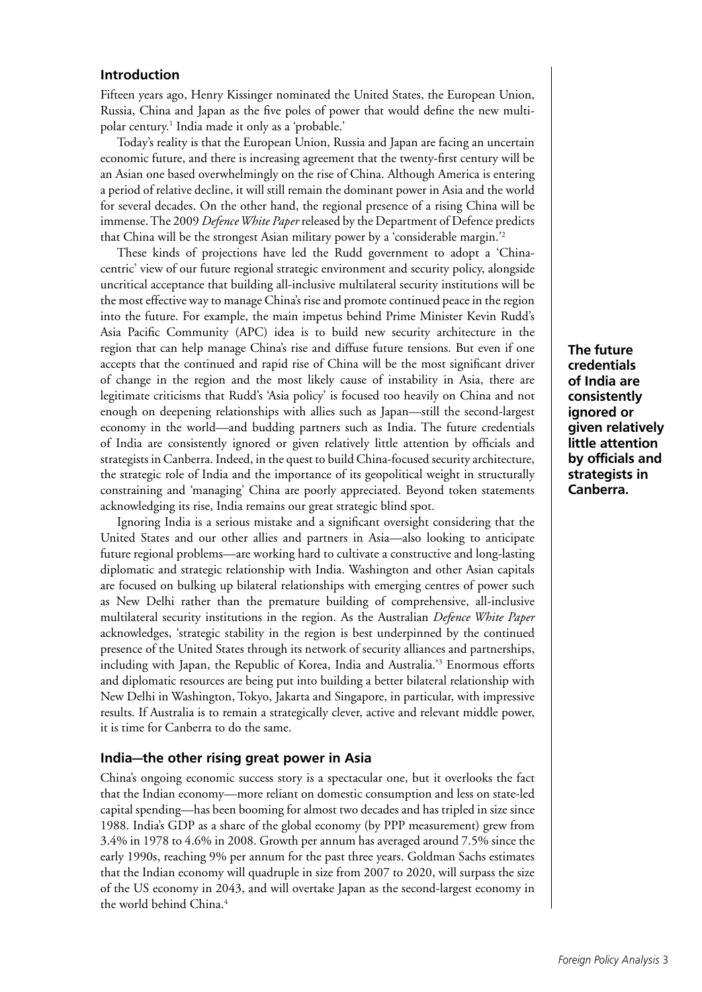# **Introduction**

Fifteen years ago, Henry Kissinger nominated the United States, the European Union, Russia, China and Japan as the five poles of power that would define the new multipolar century.1 India made it only as a 'probable.'

Today's reality is that the European Union, Russia and Japan are facing an uncertain economic future, and there is increasing agreement that the twenty-first century will be an Asian one based overwhelmingly on the rise of China. Although America is entering a period of relative decline, it will still remain the dominant power in Asia and the world for several decades. On the other hand, the regional presence of a rising China will be immense. The 2009 *Defence White Paper* released by the Department of Defence predicts that China will be the strongest Asian military power by a 'considerable margin.'2

These kinds of projections have led the Rudd government to adopt a 'Chinacentric' view of our future regional strategic environment and security policy, alongside uncritical acceptance that building all-inclusive multilateral security institutions will be the most effective way to manage China's rise and promote continued peace in the region into the future. For example, the main impetus behind Prime Minister Kevin Rudd's Asia Pacific Community (APC) idea is to build new security architecture in the region that can help manage China's rise and diffuse future tensions. But even if one accepts that the continued and rapid rise of China will be the most significant driver of change in the region and the most likely cause of instability in Asia, there are legitimate criticisms that Rudd's 'Asia policy' is focused too heavily on China and not enough on deepening relationships with allies such as Japan—still the second-largest economy in the world—and budding partners such as India. The future credentials of India are consistently ignored or given relatively little attention by officials and strategists in Canberra. Indeed, in the quest to build China-focused security architecture, the strategic role of India and the importance of its geopolitical weight in structurally constraining and 'managing' China are poorly appreciated. Beyond token statements acknowledging its rise, India remains our great strategic blind spot.

Ignoring India is a serious mistake and a significant oversight considering that the United States and our other allies and partners in Asia—also looking to anticipate future regional problems—are working hard to cultivate a constructive and long-lasting diplomatic and strategic relationship with India. Washington and other Asian capitals are focused on bulking up bilateral relationships with emerging centres of power such as New Delhi rather than the premature building of comprehensive, all-inclusive multilateral security institutions in the region. As the Australian *Defence White Paper* acknowledges, 'strategic stability in the region is best underpinned by the continued presence of the United States through its network of security alliances and partnerships, including with Japan, the Republic of Korea, India and Australia.'3 Enormous efforts and diplomatic resources are being put into building a better bilateral relationship with New Delhi in Washington, Tokyo, Jakarta and Singapore, in particular, with impressive results. If Australia is to remain a strategically clever, active and relevant middle power, it is time for Canberra to do the same.

# **India—the other rising great power in Asia**

China's ongoing economic success story is a spectacular one, but it overlooks the fact that the Indian economy—more reliant on domestic consumption and less on state-led capital spending—has been booming for almost two decades and has tripled in size since 1988. India's GDP as a share of the global economy (by PPP measurement) grew from 3.4% in 1978 to 4.6% in 2008. Growth per annum has averaged around 7.5% since the early 1990s, reaching 9% per annum for the past three years. Goldman Sachs estimates that the Indian economy will quadruple in size from 2007 to 2020, will surpass the size of the US economy in 2043, and will overtake Japan as the second-largest economy in the world behind China.<sup>4</sup>

**The future credentials of India are consistently ignored or given relatively little attention by officials and strategists in Canberra.**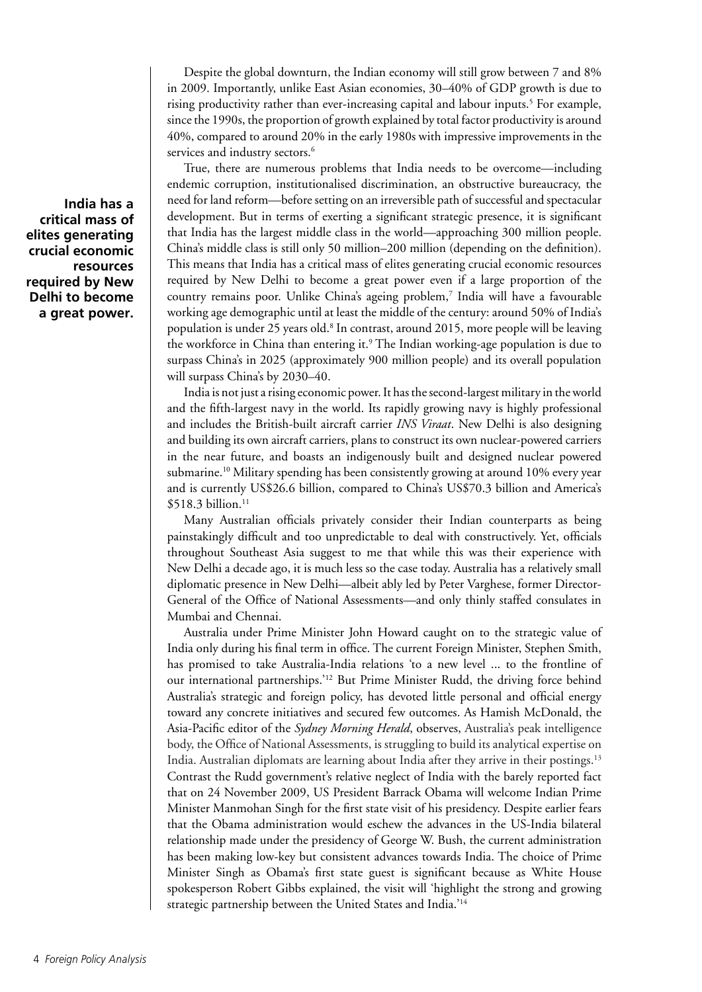Despite the global downturn, the Indian economy will still grow between 7 and 8% in 2009. Importantly, unlike East Asian economies, 30–40% of GDP growth is due to rising productivity rather than ever-increasing capital and labour inputs.<sup>5</sup> For example, since the 1990s, the proportion of growth explained by total factor productivity is around 40%, compared to around 20% in the early 1980s with impressive improvements in the services and industry sectors.<sup>6</sup>

True, there are numerous problems that India needs to be overcome—including endemic corruption, institutionalised discrimination, an obstructive bureaucracy, the need for land reform—before setting on an irreversible path of successful and spectacular development. But in terms of exerting a significant strategic presence, it is significant that India has the largest middle class in the world—approaching 300 million people. China's middle class is still only 50 million–200 million (depending on the definition). This means that India has a critical mass of elites generating crucial economic resources required by New Delhi to become a great power even if a large proportion of the country remains poor. Unlike China's ageing problem,<sup>7</sup> India will have a favourable working age demographic until at least the middle of the century: around 50% of India's population is under 25 years old.<sup>8</sup> In contrast, around 2015, more people will be leaving the workforce in China than entering it.<sup>9</sup> The Indian working-age population is due to surpass China's in 2025 (approximately 900 million people) and its overall population will surpass China's by 2030–40.

India is not just a rising economic power. It has the second-largest military in the world and the fifth-largest navy in the world. Its rapidly growing navy is highly professional and includes the British-built aircraft carrier *INS Viraat*. New Delhi is also designing and building its own aircraft carriers, plans to construct its own nuclear-powered carriers in the near future, and boasts an indigenously built and designed nuclear powered submarine.10 Military spending has been consistently growing at around 10% every year and is currently US\$26.6 billion, compared to China's US\$70.3 billion and America's  $$518.3$  billion.<sup>11</sup>

Many Australian officials privately consider their Indian counterparts as being painstakingly difficult and too unpredictable to deal with constructively. Yet, officials throughout Southeast Asia suggest to me that while this was their experience with New Delhi a decade ago, it is much less so the case today. Australia has a relatively small diplomatic presence in New Delhi—albeit ably led by Peter Varghese, former Director-General of the Office of National Assessments—and only thinly staffed consulates in Mumbai and Chennai.

Australia under Prime Minister John Howard caught on to the strategic value of India only during his final term in office. The current Foreign Minister, Stephen Smith, has promised to take Australia-India relations 'to a new level ... to the frontline of our international partnerships.'12 But Prime Minister Rudd, the driving force behind Australia's strategic and foreign policy, has devoted little personal and official energy toward any concrete initiatives and secured few outcomes. As Hamish McDonald, the Asia-Pacific editor of the *Sydney Morning Herald*, observes, Australia's peak intelligence body, the Office of National Assessments, is struggling to build its analytical expertise on India. Australian diplomats are learning about India after they arrive in their postings.13 Contrast the Rudd government's relative neglect of India with the barely reported fact that on 24 November 2009, US President Barrack Obama will welcome Indian Prime Minister Manmohan Singh for the first state visit of his presidency. Despite earlier fears that the Obama administration would eschew the advances in the US-India bilateral relationship made under the presidency of George W. Bush, the current administration has been making low-key but consistent advances towards India. The choice of Prime Minister Singh as Obama's first state guest is significant because as White House spokesperson Robert Gibbs explained, the visit will 'highlight the strong and growing strategic partnership between the United States and India.'14

**India has a critical mass of elites generating crucial economic resources required by New Delhi to become a great power.**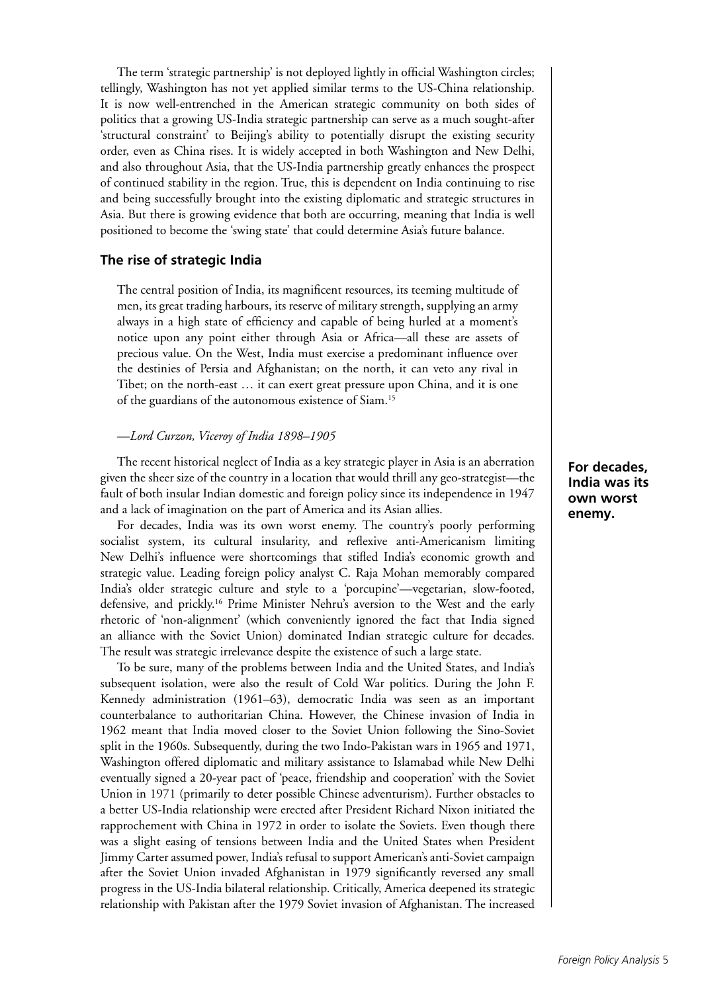The term 'strategic partnership' is not deployed lightly in official Washington circles; tellingly, Washington has not yet applied similar terms to the US-China relationship. It is now well-entrenched in the American strategic community on both sides of politics that a growing US-India strategic partnership can serve as a much sought-after 'structural constraint' to Beijing's ability to potentially disrupt the existing security order, even as China rises. It is widely accepted in both Washington and New Delhi, and also throughout Asia, that the US-India partnership greatly enhances the prospect of continued stability in the region. True, this is dependent on India continuing to rise and being successfully brought into the existing diplomatic and strategic structures in Asia. But there is growing evidence that both are occurring, meaning that India is well positioned to become the 'swing state' that could determine Asia's future balance.

#### **The rise of strategic India**

The central position of India, its magnificent resources, its teeming multitude of men, its great trading harbours, its reserve of military strength, supplying an army always in a high state of efficiency and capable of being hurled at a moment's notice upon any point either through Asia or Africa—all these are assets of precious value. On the West, India must exercise a predominant influence over the destinies of Persia and Afghanistan; on the north, it can veto any rival in Tibet; on the north-east … it can exert great pressure upon China, and it is one of the guardians of the autonomous existence of Siam.15

#### —*Lord Curzon, Viceroy of India 1898–1905*

The recent historical neglect of India as a key strategic player in Asia is an aberration given the sheer size of the country in a location that would thrill any geo-strategist—the fault of both insular Indian domestic and foreign policy since its independence in 1947 and a lack of imagination on the part of America and its Asian allies.

For decades, India was its own worst enemy. The country's poorly performing socialist system, its cultural insularity, and reflexive anti-Americanism limiting New Delhi's influence were shortcomings that stifled India's economic growth and strategic value. Leading foreign policy analyst C. Raja Mohan memorably compared India's older strategic culture and style to a 'porcupine'—vegetarian, slow-footed, defensive, and prickly.16 Prime Minister Nehru's aversion to the West and the early rhetoric of 'non-alignment' (which conveniently ignored the fact that India signed an alliance with the Soviet Union) dominated Indian strategic culture for decades. The result was strategic irrelevance despite the existence of such a large state.

To be sure, many of the problems between India and the United States, and India's subsequent isolation, were also the result of Cold War politics. During the John F. Kennedy administration (1961–63), democratic India was seen as an important counterbalance to authoritarian China. However, the Chinese invasion of India in 1962 meant that India moved closer to the Soviet Union following the Sino-Soviet split in the 1960s. Subsequently, during the two Indo-Pakistan wars in 1965 and 1971, Washington offered diplomatic and military assistance to Islamabad while New Delhi eventually signed a 20-year pact of 'peace, friendship and cooperation' with the Soviet Union in 1971 (primarily to deter possible Chinese adventurism). Further obstacles to a better US-India relationship were erected after President Richard Nixon initiated the rapprochement with China in 1972 in order to isolate the Soviets. Even though there was a slight easing of tensions between India and the United States when President Jimmy Carter assumed power, India's refusal to support American's anti-Soviet campaign after the Soviet Union invaded Afghanistan in 1979 significantly reversed any small progress in the US-India bilateral relationship. Critically, America deepened its strategic relationship with Pakistan after the 1979 Soviet invasion of Afghanistan. The increased **For decades, India was its own worst enemy.**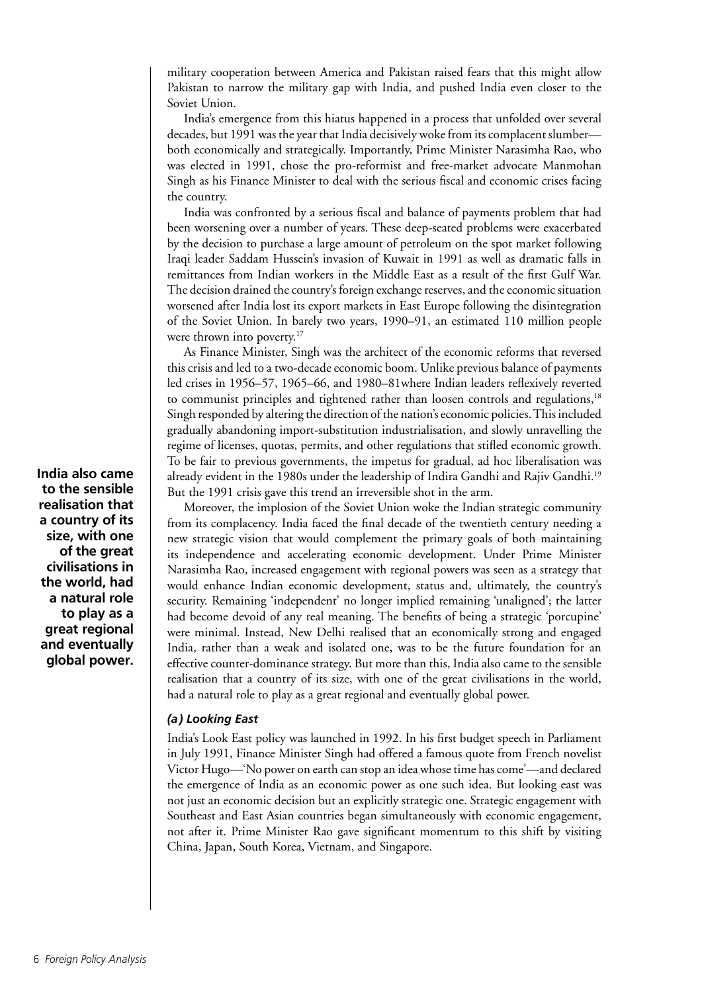military cooperation between America and Pakistan raised fears that this might allow Pakistan to narrow the military gap with India, and pushed India even closer to the Soviet Union.

India's emergence from this hiatus happened in a process that unfolded over several decades, but 1991 was the year that India decisively woke from its complacent slumber both economically and strategically. Importantly, Prime Minister Narasimha Rao, who was elected in 1991, chose the pro-reformist and free-market advocate Manmohan Singh as his Finance Minister to deal with the serious fiscal and economic crises facing the country.

India was confronted by a serious fiscal and balance of payments problem that had been worsening over a number of years. These deep-seated problems were exacerbated by the decision to purchase a large amount of petroleum on the spot market following Iraqi leader Saddam Hussein's invasion of Kuwait in 1991 as well as dramatic falls in remittances from Indian workers in the Middle East as a result of the first Gulf War. The decision drained the country's foreign exchange reserves, and the economic situation worsened after India lost its export markets in East Europe following the disintegration of the Soviet Union. In barely two years, 1990–91, an estimated 110 million people were thrown into poverty.<sup>17</sup>

As Finance Minister, Singh was the architect of the economic reforms that reversed this crisis and led to a two-decade economic boom. Unlike previous balance of payments led crises in 1956–57, 1965–66, and 1980–81where Indian leaders reflexively reverted to communist principles and tightened rather than loosen controls and regulations,<sup>18</sup> Singh responded by altering the direction of the nation's economic policies. This included gradually abandoning import-substitution industrialisation, and slowly unravelling the regime of licenses, quotas, permits, and other regulations that stifled economic growth. To be fair to previous governments, the impetus for gradual, ad hoc liberalisation was already evident in the 1980s under the leadership of Indira Gandhi and Rajiv Gandhi.19 But the 1991 crisis gave this trend an irreversible shot in the arm.

Moreover, the implosion of the Soviet Union woke the Indian strategic community from its complacency. India faced the final decade of the twentieth century needing a new strategic vision that would complement the primary goals of both maintaining its independence and accelerating economic development. Under Prime Minister Narasimha Rao, increased engagement with regional powers was seen as a strategy that would enhance Indian economic development, status and, ultimately, the country's security. Remaining 'independent' no longer implied remaining 'unaligned'; the latter had become devoid of any real meaning. The benefits of being a strategic 'porcupine' were minimal. Instead, New Delhi realised that an economically strong and engaged India, rather than a weak and isolated one, was to be the future foundation for an effective counter-dominance strategy. But more than this, India also came to the sensible realisation that a country of its size, with one of the great civilisations in the world, had a natural role to play as a great regional and eventually global power.

# *(a) Looking East*

India's Look East policy was launched in 1992. In his first budget speech in Parliament in July 1991, Finance Minister Singh had offered a famous quote from French novelist Victor Hugo—'No power on earth can stop an idea whose time has come'—and declared the emergence of India as an economic power as one such idea. But looking east was not just an economic decision but an explicitly strategic one. Strategic engagement with Southeast and East Asian countries began simultaneously with economic engagement, not after it. Prime Minister Rao gave significant momentum to this shift by visiting China, Japan, South Korea, Vietnam, and Singapore.

**India also came to the sensible realisation that a country of its size, with one of the great civilisations in the world, had a natural role to play as a great regional and eventually global power.**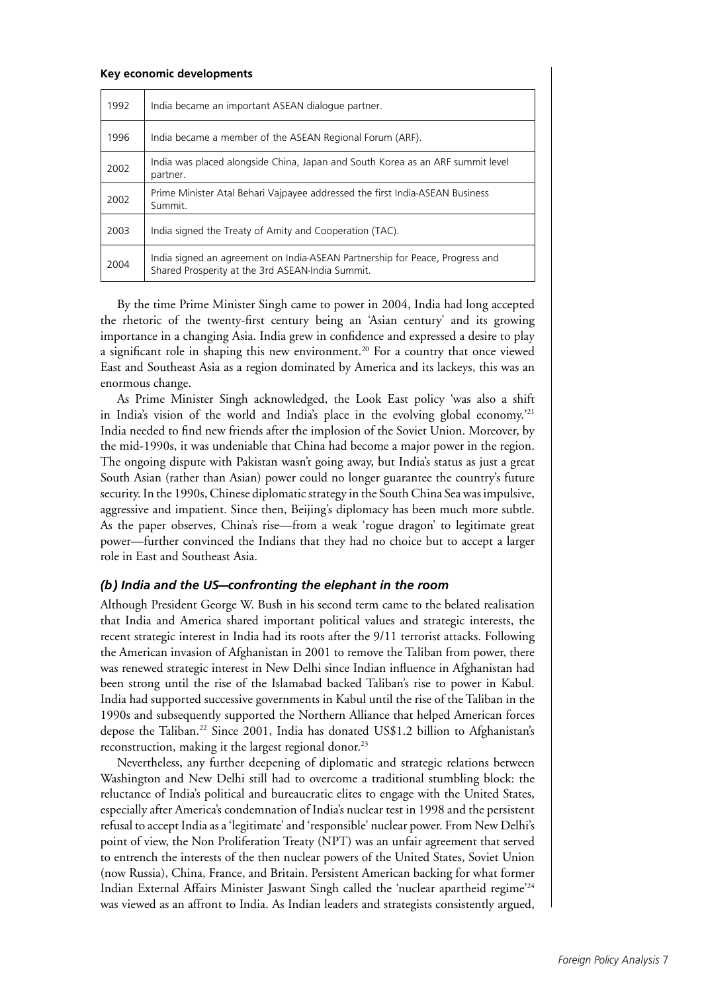#### **Key economic developments**

| 1992 | India became an important ASEAN dialogue partner.                                                                                |
|------|----------------------------------------------------------------------------------------------------------------------------------|
| 1996 | India became a member of the ASEAN Regional Forum (ARF).                                                                         |
| 2002 | India was placed alongside China, Japan and South Korea as an ARF summit level<br>partner.                                       |
| 2002 | Prime Minister Atal Behari Vajpayee addressed the first India-ASEAN Business<br>Summit.                                          |
| 2003 | India signed the Treaty of Amity and Cooperation (TAC).                                                                          |
| 2004 | India signed an agreement on India-ASEAN Partnership for Peace, Progress and<br>Shared Prosperity at the 3rd ASEAN-India Summit. |

By the time Prime Minister Singh came to power in 2004, India had long accepted the rhetoric of the twenty-first century being an 'Asian century' and its growing importance in a changing Asia. India grew in confidence and expressed a desire to play a significant role in shaping this new environment.<sup>20</sup> For a country that once viewed East and Southeast Asia as a region dominated by America and its lackeys, this was an enormous change.

As Prime Minister Singh acknowledged, the Look East policy 'was also a shift in India's vision of the world and India's place in the evolving global economy.'21 India needed to find new friends after the implosion of the Soviet Union. Moreover, by the mid-1990s, it was undeniable that China had become a major power in the region. The ongoing dispute with Pakistan wasn't going away, but India's status as just a great South Asian (rather than Asian) power could no longer guarantee the country's future security. In the 1990s, Chinese diplomatic strategy in the South China Sea was impulsive, aggressive and impatient. Since then, Beijing's diplomacy has been much more subtle. As the paper observes, China's rise—from a weak 'rogue dragon' to legitimate great power—further convinced the Indians that they had no choice but to accept a larger role in East and Southeast Asia.

#### *(b) India and the US—confronting the elephant in the room*

Although President George W. Bush in his second term came to the belated realisation that India and America shared important political values and strategic interests, the recent strategic interest in India had its roots after the 9/11 terrorist attacks. Following the American invasion of Afghanistan in 2001 to remove the Taliban from power, there was renewed strategic interest in New Delhi since Indian influence in Afghanistan had been strong until the rise of the Islamabad backed Taliban's rise to power in Kabul. India had supported successive governments in Kabul until the rise of the Taliban in the 1990s and subsequently supported the Northern Alliance that helped American forces depose the Taliban.<sup>22</sup> Since 2001, India has donated US\$1.2 billion to Afghanistan's reconstruction, making it the largest regional donor.<sup>23</sup>

Nevertheless, any further deepening of diplomatic and strategic relations between Washington and New Delhi still had to overcome a traditional stumbling block: the reluctance of India's political and bureaucratic elites to engage with the United States, especially after America's condemnation of India's nuclear test in 1998 and the persistent refusal to accept India as a 'legitimate' and 'responsible' nuclear power. From New Delhi's point of view, the Non Proliferation Treaty (NPT) was an unfair agreement that served to entrench the interests of the then nuclear powers of the United States, Soviet Union (now Russia), China, France, and Britain. Persistent American backing for what former Indian External Affairs Minister Jaswant Singh called the 'nuclear apartheid regime'24 was viewed as an affront to India. As Indian leaders and strategists consistently argued,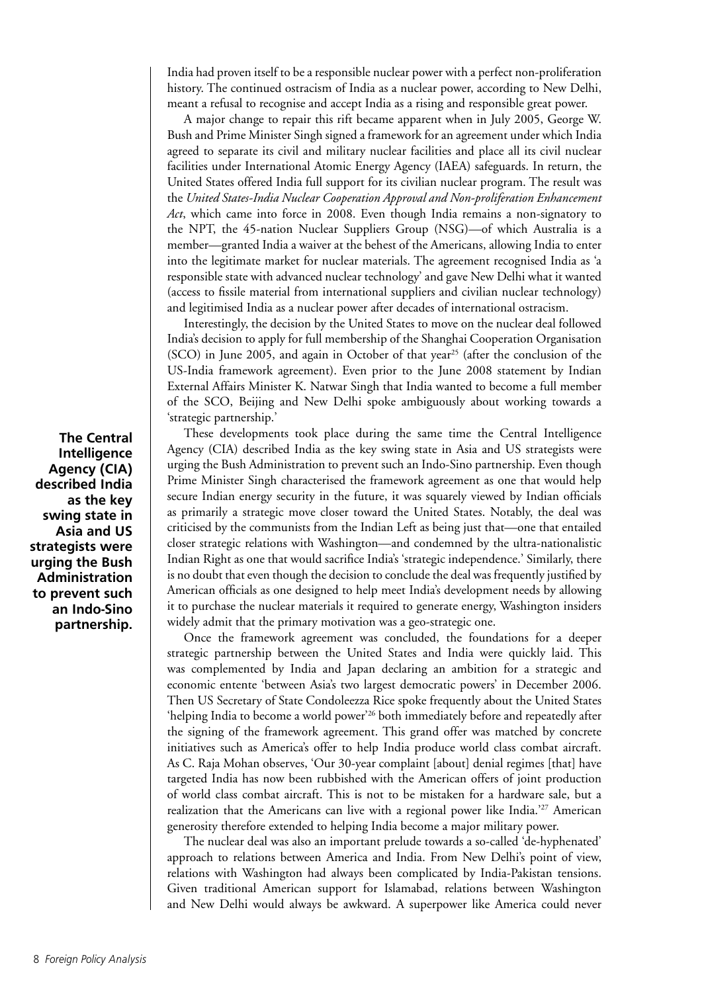India had proven itself to be a responsible nuclear power with a perfect non-proliferation history. The continued ostracism of India as a nuclear power, according to New Delhi, meant a refusal to recognise and accept India as a rising and responsible great power.

A major change to repair this rift became apparent when in July 2005, George W. Bush and Prime Minister Singh signed a framework for an agreement under which India agreed to separate its civil and military nuclear facilities and place all its civil nuclear facilities under International Atomic Energy Agency (IAEA) safeguards. In return, the United States offered India full support for its civilian nuclear program. The result was the *United States-India Nuclear Cooperation Approval and Non-proliferation Enhancement Act*, which came into force in 2008. Even though India remains a non-signatory to the NPT, the 45-nation Nuclear Suppliers Group (NSG)—of which Australia is a member—granted India a waiver at the behest of the Americans, allowing India to enter into the legitimate market for nuclear materials. The agreement recognised India as 'a responsible state with advanced nuclear technology' and gave New Delhi what it wanted (access to fissile material from international suppliers and civilian nuclear technology) and legitimised India as a nuclear power after decades of international ostracism.

Interestingly, the decision by the United States to move on the nuclear deal followed India's decision to apply for full membership of the Shanghai Cooperation Organisation  $(SCO)$  in June 2005, and again in October of that year<sup>25</sup> (after the conclusion of the US-India framework agreement). Even prior to the June 2008 statement by Indian External Affairs Minister K. Natwar Singh that India wanted to become a full member of the SCO, Beijing and New Delhi spoke ambiguously about working towards a 'strategic partnership.'

These developments took place during the same time the Central Intelligence Agency (CIA) described India as the key swing state in Asia and US strategists were urging the Bush Administration to prevent such an Indo-Sino partnership. Even though Prime Minister Singh characterised the framework agreement as one that would help secure Indian energy security in the future, it was squarely viewed by Indian officials as primarily a strategic move closer toward the United States. Notably, the deal was criticised by the communists from the Indian Left as being just that—one that entailed closer strategic relations with Washington—and condemned by the ultra-nationalistic Indian Right as one that would sacrifice India's 'strategic independence.' Similarly, there is no doubt that even though the decision to conclude the deal was frequently justified by American officials as one designed to help meet India's development needs by allowing it to purchase the nuclear materials it required to generate energy, Washington insiders widely admit that the primary motivation was a geo-strategic one.

Once the framework agreement was concluded, the foundations for a deeper strategic partnership between the United States and India were quickly laid. This was complemented by India and Japan declaring an ambition for a strategic and economic entente 'between Asia's two largest democratic powers' in December 2006. Then US Secretary of State Condoleezza Rice spoke frequently about the United States 'helping India to become a world power'26 both immediately before and repeatedly after the signing of the framework agreement. This grand offer was matched by concrete initiatives such as America's offer to help India produce world class combat aircraft. As C. Raja Mohan observes, 'Our 30-year complaint [about] denial regimes [that] have targeted India has now been rubbished with the American offers of joint production of world class combat aircraft. This is not to be mistaken for a hardware sale, but a realization that the Americans can live with a regional power like India.'27 American generosity therefore extended to helping India become a major military power.

The nuclear deal was also an important prelude towards a so-called 'de-hyphenated' approach to relations between America and India. From New Delhi's point of view, relations with Washington had always been complicated by India-Pakistan tensions. Given traditional American support for Islamabad, relations between Washington and New Delhi would always be awkward. A superpower like America could never

**The Central Intelligence Agency (CIA) described India as the key swing state in Asia and US strategists were urging the Bush Administration to prevent such an Indo-Sino partnership.**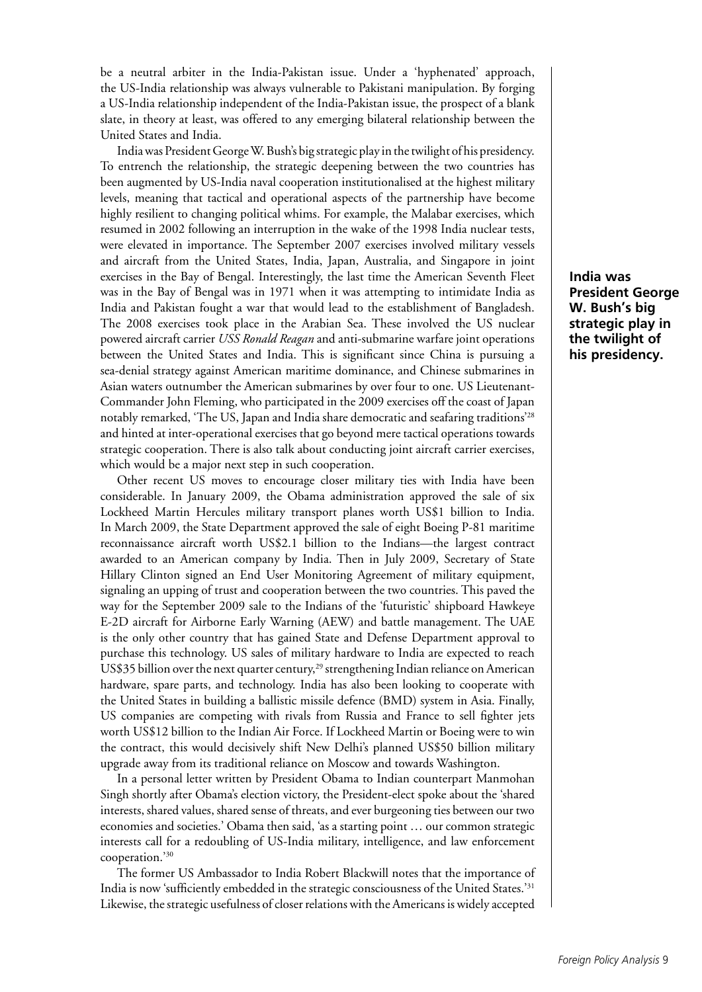be a neutral arbiter in the India-Pakistan issue. Under a 'hyphenated' approach, the US-India relationship was always vulnerable to Pakistani manipulation. By forging a US-India relationship independent of the India-Pakistan issue, the prospect of a blank slate, in theory at least, was offered to any emerging bilateral relationship between the United States and India.

India was President George W. Bush's big strategic play in the twilight of his presidency. To entrench the relationship, the strategic deepening between the two countries has been augmented by US-India naval cooperation institutionalised at the highest military levels, meaning that tactical and operational aspects of the partnership have become highly resilient to changing political whims. For example, the Malabar exercises, which resumed in 2002 following an interruption in the wake of the 1998 India nuclear tests, were elevated in importance. The September 2007 exercises involved military vessels and aircraft from the United States, India, Japan, Australia, and Singapore in joint exercises in the Bay of Bengal. Interestingly, the last time the American Seventh Fleet was in the Bay of Bengal was in 1971 when it was attempting to intimidate India as India and Pakistan fought a war that would lead to the establishment of Bangladesh. The 2008 exercises took place in the Arabian Sea. These involved the US nuclear powered aircraft carrier *USS Ronald Reagan* and anti-submarine warfare joint operations between the United States and India. This is significant since China is pursuing a sea-denial strategy against American maritime dominance, and Chinese submarines in Asian waters outnumber the American submarines by over four to one. US Lieutenant-Commander John Fleming, who participated in the 2009 exercises off the coast of Japan notably remarked, 'The US, Japan and India share democratic and seafaring traditions'28 and hinted at inter-operational exercises that go beyond mere tactical operations towards strategic cooperation. There is also talk about conducting joint aircraft carrier exercises, which would be a major next step in such cooperation.

Other recent US moves to encourage closer military ties with India have been considerable. In January 2009, the Obama administration approved the sale of six Lockheed Martin Hercules military transport planes worth US\$1 billion to India. In March 2009, the State Department approved the sale of eight Boeing P-81 maritime reconnaissance aircraft worth US\$2.1 billion to the Indians—the largest contract awarded to an American company by India. Then in July 2009, Secretary of State Hillary Clinton signed an End User Monitoring Agreement of military equipment, signaling an upping of trust and cooperation between the two countries. This paved the way for the September 2009 sale to the Indians of the 'futuristic' shipboard Hawkeye E-2D aircraft for Airborne Early Warning (AEW) and battle management. The UAE is the only other country that has gained State and Defense Department approval to purchase this technology. US sales of military hardware to India are expected to reach US\$35 billion over the next quarter century,<sup>29</sup> strengthening Indian reliance on American hardware, spare parts, and technology. India has also been looking to cooperate with the United States in building a ballistic missile defence (BMD) system in Asia. Finally, US companies are competing with rivals from Russia and France to sell fighter jets worth US\$12 billion to the Indian Air Force. If Lockheed Martin or Boeing were to win the contract, this would decisively shift New Delhi's planned US\$50 billion military upgrade away from its traditional reliance on Moscow and towards Washington.

In a personal letter written by President Obama to Indian counterpart Manmohan Singh shortly after Obama's election victory, the President-elect spoke about the 'shared interests, shared values, shared sense of threats, and ever burgeoning ties between our two economies and societies.' Obama then said, 'as a starting point … our common strategic interests call for a redoubling of US-India military, intelligence, and law enforcement cooperation.'30

The former US Ambassador to India Robert Blackwill notes that the importance of India is now 'sufficiently embedded in the strategic consciousness of the United States.'31 Likewise, the strategic usefulness of closer relations with the Americans is widely accepted

**India was President George W. Bush's big strategic play in the twilight of his presidency.**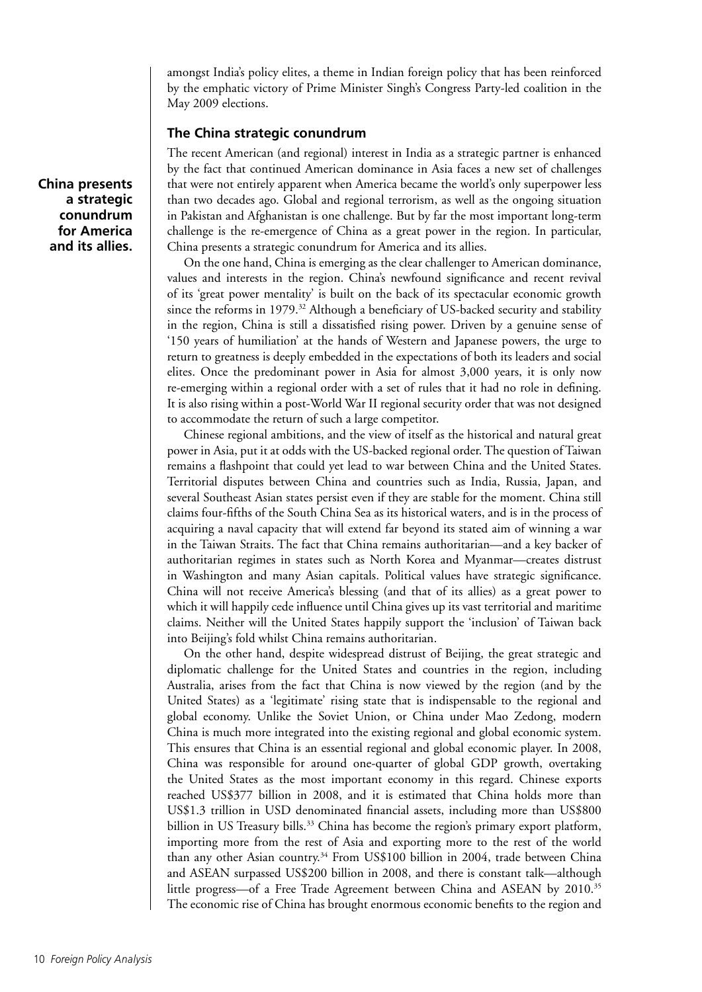amongst India's policy elites, a theme in Indian foreign policy that has been reinforced by the emphatic victory of Prime Minister Singh's Congress Party-led coalition in the May 2009 elections.

# **The China strategic conundrum**

The recent American (and regional) interest in India as a strategic partner is enhanced by the fact that continued American dominance in Asia faces a new set of challenges that were not entirely apparent when America became the world's only superpower less than two decades ago. Global and regional terrorism, as well as the ongoing situation in Pakistan and Afghanistan is one challenge. But by far the most important long-term challenge is the re-emergence of China as a great power in the region. In particular, China presents a strategic conundrum for America and its allies.

On the one hand, China is emerging as the clear challenger to American dominance, values and interests in the region. China's newfound significance and recent revival of its 'great power mentality' is built on the back of its spectacular economic growth since the reforms in 1979.<sup>32</sup> Although a beneficiary of US-backed security and stability in the region, China is still a dissatisfied rising power. Driven by a genuine sense of '150 years of humiliation' at the hands of Western and Japanese powers, the urge to return to greatness is deeply embedded in the expectations of both its leaders and social elites. Once the predominant power in Asia for almost 3,000 years, it is only now re-emerging within a regional order with a set of rules that it had no role in defining. It is also rising within a post-World War II regional security order that was not designed to accommodate the return of such a large competitor.

Chinese regional ambitions, and the view of itself as the historical and natural great power in Asia, put it at odds with the US-backed regional order. The question of Taiwan remains a flashpoint that could yet lead to war between China and the United States. Territorial disputes between China and countries such as India, Russia, Japan, and several Southeast Asian states persist even if they are stable for the moment. China still claims four-fifths of the South China Sea as its historical waters, and is in the process of acquiring a naval capacity that will extend far beyond its stated aim of winning a war in the Taiwan Straits. The fact that China remains authoritarian—and a key backer of authoritarian regimes in states such as North Korea and Myanmar—creates distrust in Washington and many Asian capitals. Political values have strategic significance. China will not receive America's blessing (and that of its allies) as a great power to which it will happily cede influence until China gives up its vast territorial and maritime claims. Neither will the United States happily support the 'inclusion' of Taiwan back into Beijing's fold whilst China remains authoritarian.

On the other hand, despite widespread distrust of Beijing, the great strategic and diplomatic challenge for the United States and countries in the region, including Australia, arises from the fact that China is now viewed by the region (and by the United States) as a 'legitimate' rising state that is indispensable to the regional and global economy. Unlike the Soviet Union, or China under Mao Zedong, modern China is much more integrated into the existing regional and global economic system. This ensures that China is an essential regional and global economic player. In 2008, China was responsible for around one-quarter of global GDP growth, overtaking the United States as the most important economy in this regard. Chinese exports reached US\$377 billion in 2008, and it is estimated that China holds more than US\$1.3 trillion in USD denominated financial assets, including more than US\$800 billion in US Treasury bills.<sup>33</sup> China has become the region's primary export platform, importing more from the rest of Asia and exporting more to the rest of the world than any other Asian country.<sup>34</sup> From US\$100 billion in 2004, trade between China and ASEAN surpassed US\$200 billion in 2008, and there is constant talk—although little progress—of a Free Trade Agreement between China and ASEAN by 2010.35 The economic rise of China has brought enormous economic benefits to the region and

**China presents a strategic conundrum for America and its allies.**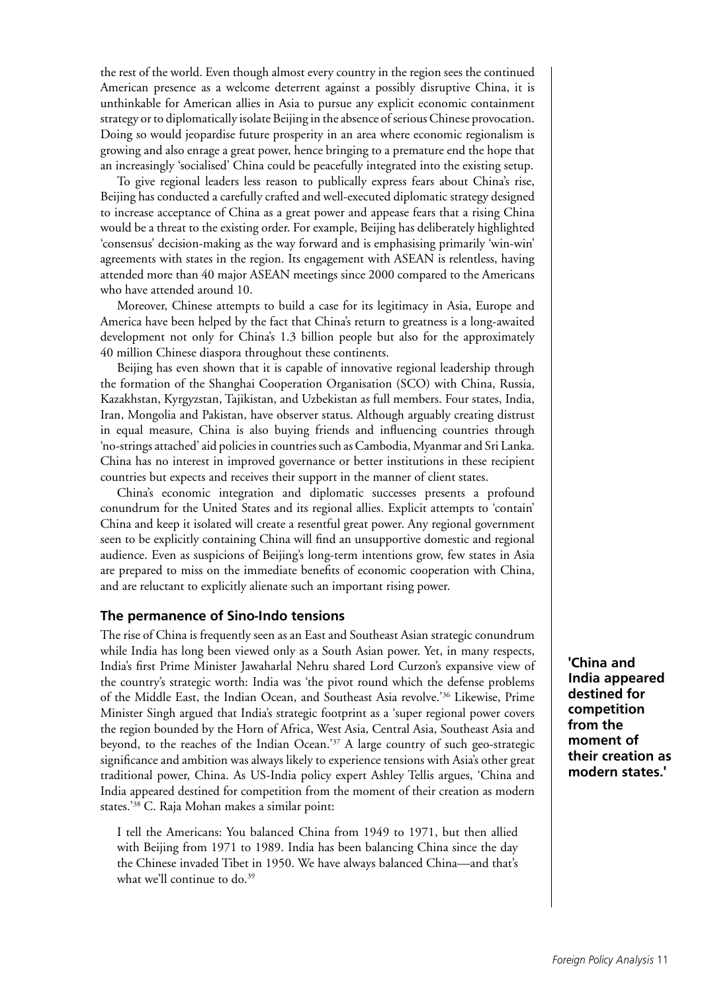the rest of the world. Even though almost every country in the region sees the continued American presence as a welcome deterrent against a possibly disruptive China, it is unthinkable for American allies in Asia to pursue any explicit economic containment strategy or to diplomatically isolate Beijing in the absence of serious Chinese provocation. Doing so would jeopardise future prosperity in an area where economic regionalism is growing and also enrage a great power, hence bringing to a premature end the hope that an increasingly 'socialised' China could be peacefully integrated into the existing setup.

To give regional leaders less reason to publically express fears about China's rise, Beijing has conducted a carefully crafted and well-executed diplomatic strategy designed to increase acceptance of China as a great power and appease fears that a rising China would be a threat to the existing order. For example, Beijing has deliberately highlighted 'consensus' decision-making as the way forward and is emphasising primarily 'win-win' agreements with states in the region. Its engagement with ASEAN is relentless, having attended more than 40 major ASEAN meetings since 2000 compared to the Americans who have attended around 10.

Moreover, Chinese attempts to build a case for its legitimacy in Asia, Europe and America have been helped by the fact that China's return to greatness is a long-awaited development not only for China's 1.3 billion people but also for the approximately 40 million Chinese diaspora throughout these continents.

Beijing has even shown that it is capable of innovative regional leadership through the formation of the Shanghai Cooperation Organisation (SCO) with China, Russia, Kazakhstan, Kyrgyzstan, Tajikistan, and Uzbekistan as full members. Four states, India, Iran, Mongolia and Pakistan, have observer status. Although arguably creating distrust in equal measure, China is also buying friends and influencing countries through 'no-strings attached' aid policies in countries such as Cambodia, Myanmar and Sri Lanka. China has no interest in improved governance or better institutions in these recipient countries but expects and receives their support in the manner of client states.

China's economic integration and diplomatic successes presents a profound conundrum for the United States and its regional allies. Explicit attempts to 'contain' China and keep it isolated will create a resentful great power. Any regional government seen to be explicitly containing China will find an unsupportive domestic and regional audience. Even as suspicions of Beijing's long-term intentions grow, few states in Asia are prepared to miss on the immediate benefits of economic cooperation with China, and are reluctant to explicitly alienate such an important rising power.

#### **The permanence of Sino-Indo tensions**

The rise of China is frequently seen as an East and Southeast Asian strategic conundrum while India has long been viewed only as a South Asian power. Yet, in many respects, India's first Prime Minister Jawaharlal Nehru shared Lord Curzon's expansive view of the country's strategic worth: India was 'the pivot round which the defense problems of the Middle East, the Indian Ocean, and Southeast Asia revolve.'36 Likewise, Prime Minister Singh argued that India's strategic footprint as a 'super regional power covers the region bounded by the Horn of Africa, West Asia, Central Asia, Southeast Asia and beyond, to the reaches of the Indian Ocean.'37 A large country of such geo-strategic significance and ambition was always likely to experience tensions with Asia's other great traditional power, China. As US-India policy expert Ashley Tellis argues, 'China and India appeared destined for competition from the moment of their creation as modern states.'38 C. Raja Mohan makes a similar point:

I tell the Americans: You balanced China from 1949 to 1971, but then allied with Beijing from 1971 to 1989. India has been balancing China since the day the Chinese invaded Tibet in 1950. We have always balanced China—and that's what we'll continue to do.<sup>39</sup>

**'China and India appeared destined for competition from the moment of their creation as modern states.'**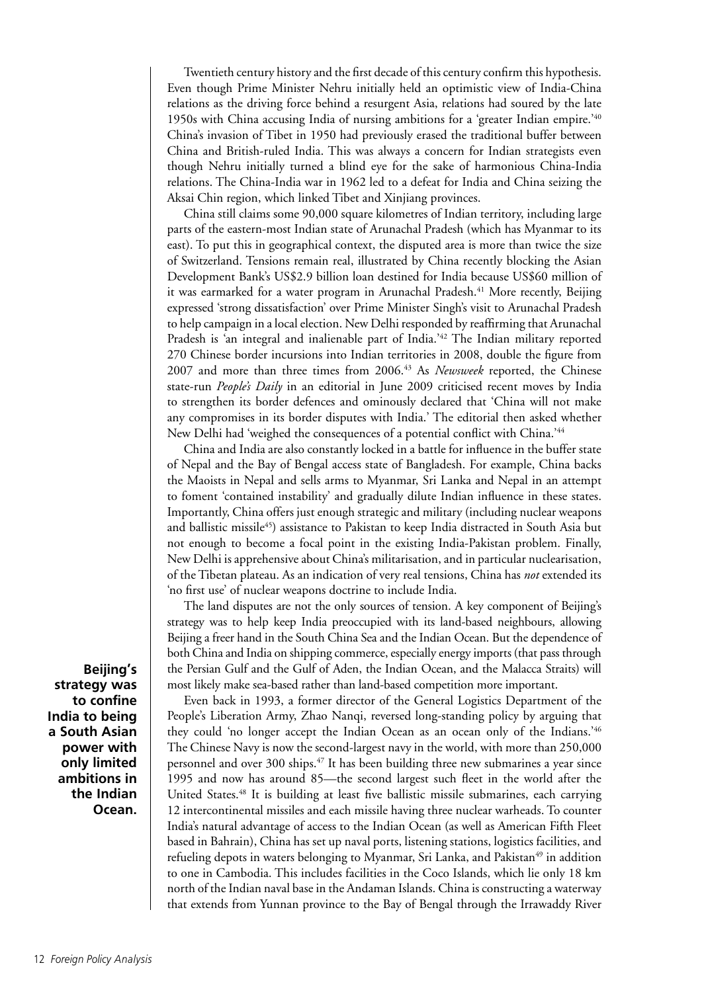Twentieth century history and the first decade of this century confirm this hypothesis. Even though Prime Minister Nehru initially held an optimistic view of India-China relations as the driving force behind a resurgent Asia, relations had soured by the late 1950s with China accusing India of nursing ambitions for a 'greater Indian empire.'40 China's invasion of Tibet in 1950 had previously erased the traditional buffer between China and British-ruled India. This was always a concern for Indian strategists even though Nehru initially turned a blind eye for the sake of harmonious China-India relations. The China-India war in 1962 led to a defeat for India and China seizing the Aksai Chin region, which linked Tibet and Xinjiang provinces.

China still claims some 90,000 square kilometres of Indian territory, including large parts of the eastern-most Indian state of Arunachal Pradesh (which has Myanmar to its east). To put this in geographical context, the disputed area is more than twice the size of Switzerland. Tensions remain real, illustrated by China recently blocking the Asian Development Bank's US\$2.9 billion loan destined for India because US\$60 million of it was earmarked for a water program in Arunachal Pradesh.<sup>41</sup> More recently, Beijing expressed 'strong dissatisfaction' over Prime Minister Singh's visit to Arunachal Pradesh to help campaign in a local election. New Delhi responded by reaffirming that Arunachal Pradesh is 'an integral and inalienable part of India.<sup>'42</sup> The Indian military reported 270 Chinese border incursions into Indian territories in 2008, double the figure from 2007 and more than three times from 2006.43 As *Newsweek* reported, the Chinese state-run *People's Daily* in an editorial in June 2009 criticised recent moves by India to strengthen its border defences and ominously declared that 'China will not make any compromises in its border disputes with India.' The editorial then asked whether New Delhi had 'weighed the consequences of a potential conflict with China.<sup>'44</sup>

China and India are also constantly locked in a battle for influence in the buffer state of Nepal and the Bay of Bengal access state of Bangladesh. For example, China backs the Maoists in Nepal and sells arms to Myanmar, Sri Lanka and Nepal in an attempt to foment 'contained instability' and gradually dilute Indian influence in these states. Importantly, China offers just enough strategic and military (including nuclear weapons and ballistic missile<sup>45</sup>) assistance to Pakistan to keep India distracted in South Asia but not enough to become a focal point in the existing India-Pakistan problem. Finally, New Delhi is apprehensive about China's militarisation, and in particular nuclearisation, of the Tibetan plateau. As an indication of very real tensions, China has *not* extended its 'no first use' of nuclear weapons doctrine to include India.

The land disputes are not the only sources of tension. A key component of Beijing's strategy was to help keep India preoccupied with its land-based neighbours, allowing Beijing a freer hand in the South China Sea and the Indian Ocean. But the dependence of both China and India on shipping commerce, especially energy imports (that pass through the Persian Gulf and the Gulf of Aden, the Indian Ocean, and the Malacca Straits) will most likely make sea-based rather than land-based competition more important.

Even back in 1993, a former director of the General Logistics Department of the People's Liberation Army, Zhao Nanqi, reversed long-standing policy by arguing that they could 'no longer accept the Indian Ocean as an ocean only of the Indians.'46 The Chinese Navy is now the second-largest navy in the world, with more than 250,000 personnel and over 300 ships.47 It has been building three new submarines a year since 1995 and now has around 85—the second largest such fleet in the world after the United States.<sup>48</sup> It is building at least five ballistic missile submarines, each carrying 12 intercontinental missiles and each missile having three nuclear warheads. To counter India's natural advantage of access to the Indian Ocean (as well as American Fifth Fleet based in Bahrain), China has set up naval ports, listening stations, logistics facilities, and refueling depots in waters belonging to Myanmar, Sri Lanka, and Pakistan<sup>49</sup> in addition to one in Cambodia. This includes facilities in the Coco Islands, which lie only 18 km north of the Indian naval base in the Andaman Islands. China is constructing a waterway that extends from Yunnan province to the Bay of Bengal through the Irrawaddy River

**Beijing's strategy was to confine India to being a South Asian power with only limited ambitions in the Indian Ocean.**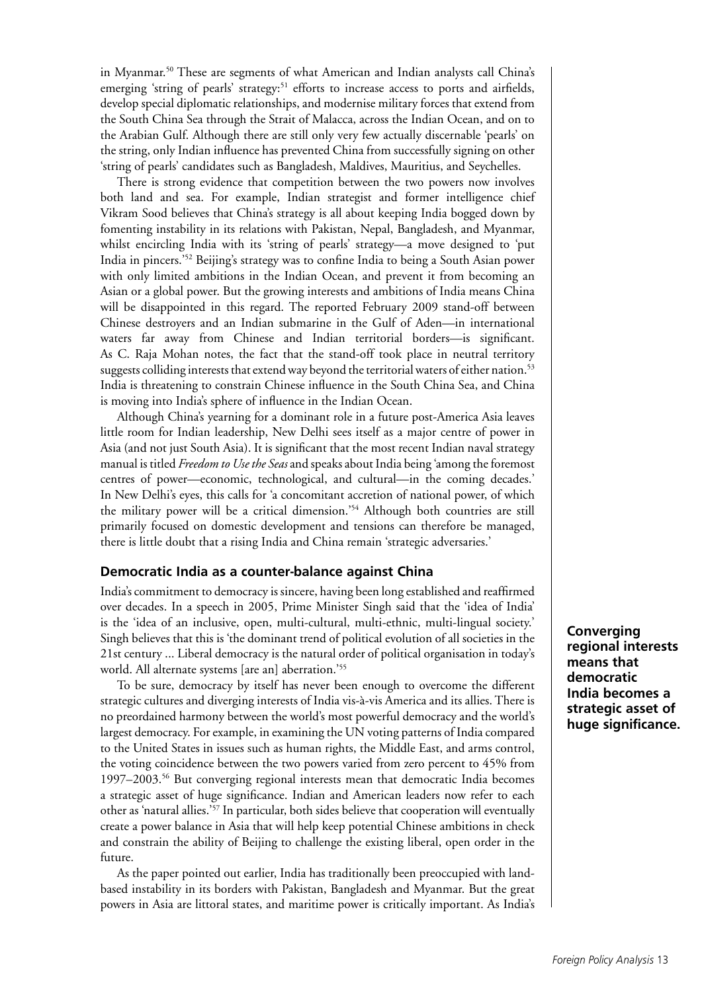in Myanmar.50 These are segments of what American and Indian analysts call China's emerging 'string of pearls' strategy:<sup>51</sup> efforts to increase access to ports and airfields, develop special diplomatic relationships, and modernise military forces that extend from the South China Sea through the Strait of Malacca, across the Indian Ocean, and on to the Arabian Gulf. Although there are still only very few actually discernable 'pearls' on the string, only Indian influence has prevented China from successfully signing on other 'string of pearls' candidates such as Bangladesh, Maldives, Mauritius, and Seychelles.

There is strong evidence that competition between the two powers now involves both land and sea. For example, Indian strategist and former intelligence chief Vikram Sood believes that China's strategy is all about keeping India bogged down by fomenting instability in its relations with Pakistan, Nepal, Bangladesh, and Myanmar, whilst encircling India with its 'string of pearls' strategy—a move designed to 'put India in pincers.'52 Beijing's strategy was to confine India to being a South Asian power with only limited ambitions in the Indian Ocean, and prevent it from becoming an Asian or a global power. But the growing interests and ambitions of India means China will be disappointed in this regard. The reported February 2009 stand-off between Chinese destroyers and an Indian submarine in the Gulf of Aden—in international waters far away from Chinese and Indian territorial borders—is significant. As C. Raja Mohan notes, the fact that the stand-off took place in neutral territory suggests colliding interests that extend way beyond the territorial waters of either nation.<sup>53</sup> India is threatening to constrain Chinese influence in the South China Sea, and China is moving into India's sphere of influence in the Indian Ocean.

Although China's yearning for a dominant role in a future post-America Asia leaves little room for Indian leadership, New Delhi sees itself as a major centre of power in Asia (and not just South Asia). It is significant that the most recent Indian naval strategy manual is titled *Freedom to Use the Seas* and speaks about India being 'among the foremost centres of power—economic, technological, and cultural—in the coming decades.' In New Delhi's eyes, this calls for 'a concomitant accretion of national power, of which the military power will be a critical dimension.'54 Although both countries are still primarily focused on domestic development and tensions can therefore be managed, there is little doubt that a rising India and China remain 'strategic adversaries.'

#### **Democratic India as a counter-balance against China**

India's commitment to democracy is sincere, having been long established and reaffirmed over decades. In a speech in 2005, Prime Minister Singh said that the 'idea of India' is the 'idea of an inclusive, open, multi-cultural, multi-ethnic, multi-lingual society.' Singh believes that this is 'the dominant trend of political evolution of all societies in the 21st century ... Liberal democracy is the natural order of political organisation in today's world. All alternate systems [are an] aberration.'55

To be sure, democracy by itself has never been enough to overcome the different strategic cultures and diverging interests of India vis-à-vis America and its allies. There is no preordained harmony between the world's most powerful democracy and the world's largest democracy. For example, in examining the UN voting patterns of India compared to the United States in issues such as human rights, the Middle East, and arms control, the voting coincidence between the two powers varied from zero percent to 45% from 1997–2003.56 But converging regional interests mean that democratic India becomes a strategic asset of huge significance. Indian and American leaders now refer to each other as 'natural allies.'<sup>57</sup> In particular, both sides believe that cooperation will eventually create a power balance in Asia that will help keep potential Chinese ambitions in check and constrain the ability of Beijing to challenge the existing liberal, open order in the future.

As the paper pointed out earlier, India has traditionally been preoccupied with landbased instability in its borders with Pakistan, Bangladesh and Myanmar. But the great powers in Asia are littoral states, and maritime power is critically important. As India's

**Converging regional interests means that democratic India becomes a strategic asset of huge significance.**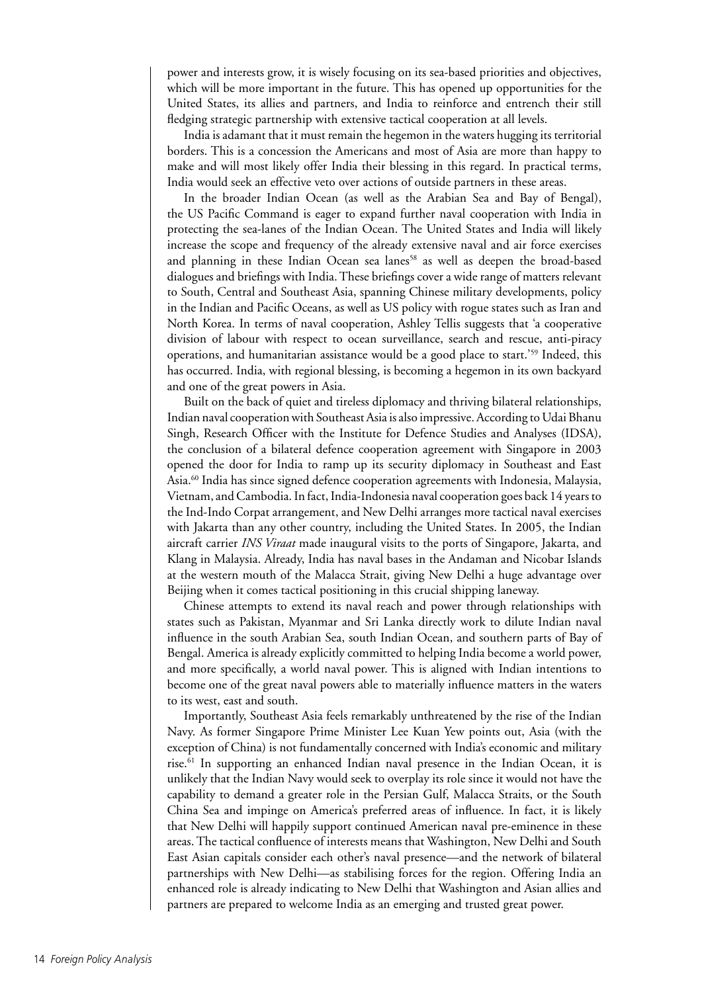power and interests grow, it is wisely focusing on its sea-based priorities and objectives, which will be more important in the future. This has opened up opportunities for the United States, its allies and partners, and India to reinforce and entrench their still fledging strategic partnership with extensive tactical cooperation at all levels.

India is adamant that it must remain the hegemon in the waters hugging its territorial borders. This is a concession the Americans and most of Asia are more than happy to make and will most likely offer India their blessing in this regard. In practical terms, India would seek an effective veto over actions of outside partners in these areas.

In the broader Indian Ocean (as well as the Arabian Sea and Bay of Bengal), the US Pacific Command is eager to expand further naval cooperation with India in protecting the sea-lanes of the Indian Ocean. The United States and India will likely increase the scope and frequency of the already extensive naval and air force exercises and planning in these Indian Ocean sea lanes<sup>58</sup> as well as deepen the broad-based dialogues and briefings with India. These briefings cover a wide range of matters relevant to South, Central and Southeast Asia, spanning Chinese military developments, policy in the Indian and Pacific Oceans, as well as US policy with rogue states such as Iran and North Korea. In terms of naval cooperation, Ashley Tellis suggests that 'a cooperative division of labour with respect to ocean surveillance, search and rescue, anti-piracy operations, and humanitarian assistance would be a good place to start.'59 Indeed, this has occurred. India, with regional blessing, is becoming a hegemon in its own backyard and one of the great powers in Asia.

Built on the back of quiet and tireless diplomacy and thriving bilateral relationships, Indian naval cooperation with Southeast Asia is also impressive. According to Udai Bhanu Singh, Research Officer with the Institute for Defence Studies and Analyses (IDSA), the conclusion of a bilateral defence cooperation agreement with Singapore in 2003 opened the door for India to ramp up its security diplomacy in Southeast and East Asia.60 India has since signed defence cooperation agreements with Indonesia, Malaysia, Vietnam, and Cambodia. In fact, India-Indonesia naval cooperation goes back 14 years to the Ind-Indo Corpat arrangement, and New Delhi arranges more tactical naval exercises with Jakarta than any other country, including the United States. In 2005, the Indian aircraft carrier *INS Viraat* made inaugural visits to the ports of Singapore, Jakarta, and Klang in Malaysia. Already, India has naval bases in the Andaman and Nicobar Islands at the western mouth of the Malacca Strait, giving New Delhi a huge advantage over Beijing when it comes tactical positioning in this crucial shipping laneway.

Chinese attempts to extend its naval reach and power through relationships with states such as Pakistan, Myanmar and Sri Lanka directly work to dilute Indian naval influence in the south Arabian Sea, south Indian Ocean, and southern parts of Bay of Bengal. America is already explicitly committed to helping India become a world power, and more specifically, a world naval power. This is aligned with Indian intentions to become one of the great naval powers able to materially influence matters in the waters to its west, east and south.

Importantly, Southeast Asia feels remarkably unthreatened by the rise of the Indian Navy. As former Singapore Prime Minister Lee Kuan Yew points out, Asia (with the exception of China) is not fundamentally concerned with India's economic and military rise.61 In supporting an enhanced Indian naval presence in the Indian Ocean, it is unlikely that the Indian Navy would seek to overplay its role since it would not have the capability to demand a greater role in the Persian Gulf, Malacca Straits, or the South China Sea and impinge on America's preferred areas of influence. In fact, it is likely that New Delhi will happily support continued American naval pre-eminence in these areas. The tactical confluence of interests means that Washington, New Delhi and South East Asian capitals consider each other's naval presence—and the network of bilateral partnerships with New Delhi—as stabilising forces for the region. Offering India an enhanced role is already indicating to New Delhi that Washington and Asian allies and partners are prepared to welcome India as an emerging and trusted great power.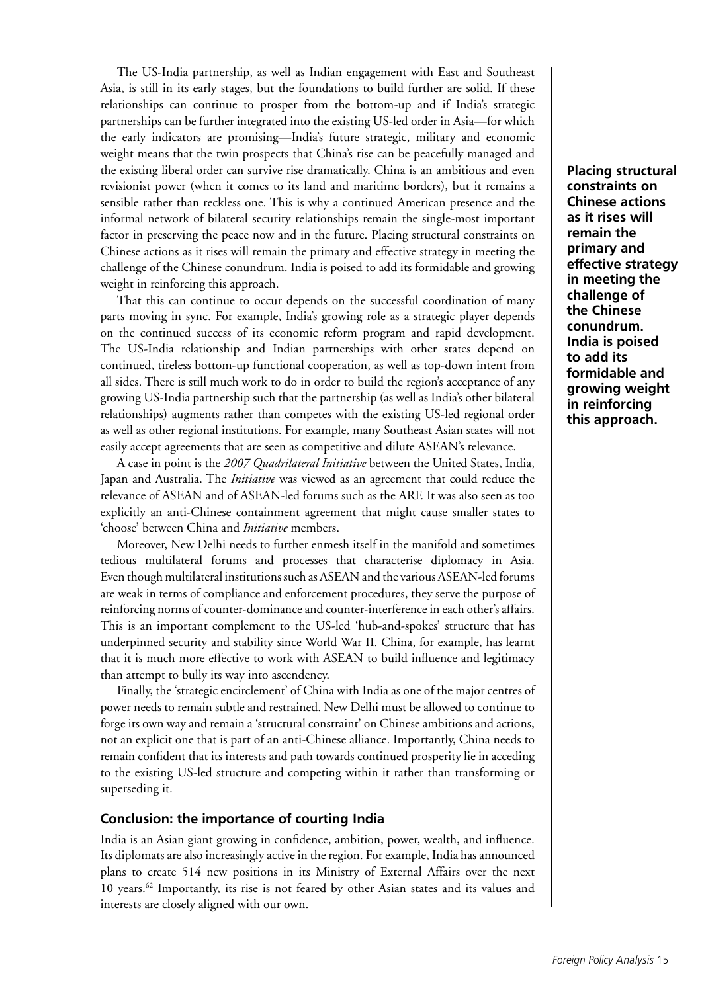The US-India partnership, as well as Indian engagement with East and Southeast Asia, is still in its early stages, but the foundations to build further are solid. If these relationships can continue to prosper from the bottom-up and if India's strategic partnerships can be further integrated into the existing US-led order in Asia—for which the early indicators are promising—India's future strategic, military and economic weight means that the twin prospects that China's rise can be peacefully managed and the existing liberal order can survive rise dramatically. China is an ambitious and even revisionist power (when it comes to its land and maritime borders), but it remains a sensible rather than reckless one. This is why a continued American presence and the informal network of bilateral security relationships remain the single-most important factor in preserving the peace now and in the future. Placing structural constraints on Chinese actions as it rises will remain the primary and effective strategy in meeting the challenge of the Chinese conundrum. India is poised to add its formidable and growing weight in reinforcing this approach.

That this can continue to occur depends on the successful coordination of many parts moving in sync. For example, India's growing role as a strategic player depends on the continued success of its economic reform program and rapid development. The US-India relationship and Indian partnerships with other states depend on continued, tireless bottom-up functional cooperation, as well as top-down intent from all sides. There is still much work to do in order to build the region's acceptance of any growing US-India partnership such that the partnership (as well as India's other bilateral relationships) augments rather than competes with the existing US-led regional order as well as other regional institutions. For example, many Southeast Asian states will not easily accept agreements that are seen as competitive and dilute ASEAN's relevance.

A case in point is the *2007 Quadrilateral Initiative* between the United States, India, Japan and Australia. The *Initiative* was viewed as an agreement that could reduce the relevance of ASEAN and of ASEAN-led forums such as the ARF. It was also seen as too explicitly an anti-Chinese containment agreement that might cause smaller states to 'choose' between China and *Initiative* members.

Moreover, New Delhi needs to further enmesh itself in the manifold and sometimes tedious multilateral forums and processes that characterise diplomacy in Asia. Even though multilateral institutions such as ASEAN and the various ASEAN-led forums are weak in terms of compliance and enforcement procedures, they serve the purpose of reinforcing norms of counter-dominance and counter-interference in each other's affairs. This is an important complement to the US-led 'hub-and-spokes' structure that has underpinned security and stability since World War II. China, for example, has learnt that it is much more effective to work with ASEAN to build influence and legitimacy than attempt to bully its way into ascendency.

Finally, the 'strategic encirclement' of China with India as one of the major centres of power needs to remain subtle and restrained. New Delhi must be allowed to continue to forge its own way and remain a 'structural constraint' on Chinese ambitions and actions, not an explicit one that is part of an anti-Chinese alliance. Importantly, China needs to remain confident that its interests and path towards continued prosperity lie in acceding to the existing US-led structure and competing within it rather than transforming or superseding it.

# **Conclusion: the importance of courting India**

India is an Asian giant growing in confidence, ambition, power, wealth, and influence. Its diplomats are also increasingly active in the region. For example, India has announced plans to create 514 new positions in its Ministry of External Affairs over the next 10 years.62 Importantly, its rise is not feared by other Asian states and its values and interests are closely aligned with our own.

**Placing structural constraints on Chinese actions as it rises will remain the primary and effective strategy in meeting the challenge of the Chinese conundrum. India is poised to add its formidable and growing weight in reinforcing this approach.**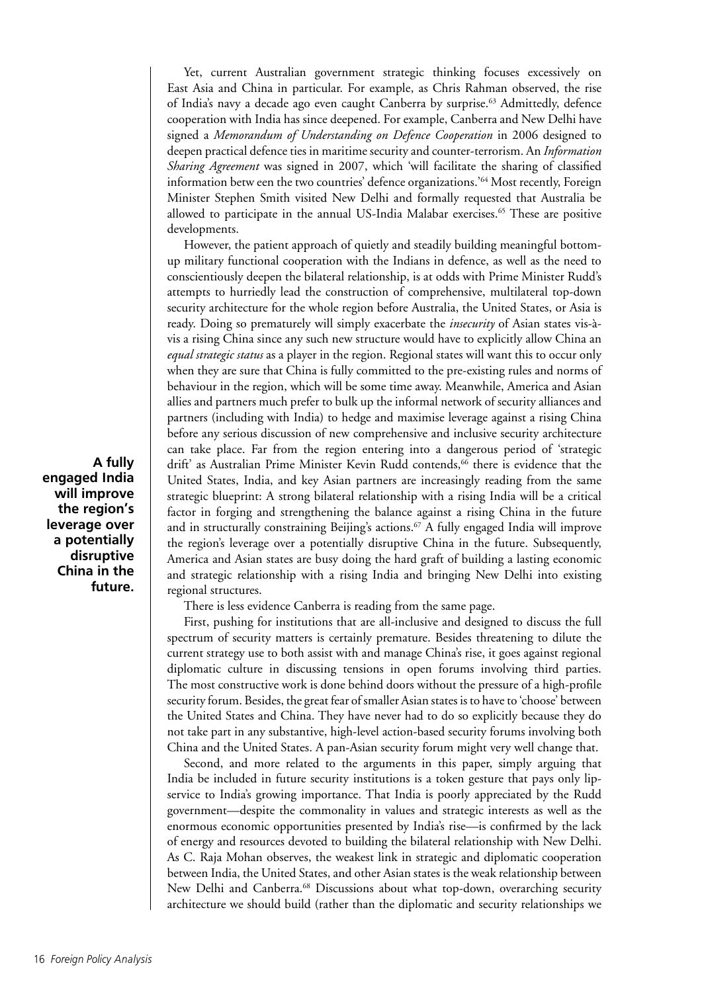Yet, current Australian government strategic thinking focuses excessively on East Asia and China in particular. For example, as Chris Rahman observed, the rise of India's navy a decade ago even caught Canberra by surprise.63 Admittedly, defence cooperation with India has since deepened. For example, Canberra and New Delhi have signed a *Memorandum of Understanding on Defence Cooperation* in 2006 designed to deepen practical defence ties in maritime security and counter-terrorism. An *Information Sharing Agreement* was signed in 2007, which 'will facilitate the sharing of classified information betw een the two countries' defence organizations.'64 Most recently, Foreign Minister Stephen Smith visited New Delhi and formally requested that Australia be allowed to participate in the annual US-India Malabar exercises.<sup>65</sup> These are positive developments.

However, the patient approach of quietly and steadily building meaningful bottomup military functional cooperation with the Indians in defence, as well as the need to conscientiously deepen the bilateral relationship, is at odds with Prime Minister Rudd's attempts to hurriedly lead the construction of comprehensive, multilateral top-down security architecture for the whole region before Australia, the United States, or Asia is ready. Doing so prematurely will simply exacerbate the *insecurity* of Asian states vis-àvis a rising China since any such new structure would have to explicitly allow China an *equal strategic status* as a player in the region. Regional states will want this to occur only when they are sure that China is fully committed to the pre-existing rules and norms of behaviour in the region, which will be some time away. Meanwhile, America and Asian allies and partners much prefer to bulk up the informal network of security alliances and partners (including with India) to hedge and maximise leverage against a rising China before any serious discussion of new comprehensive and inclusive security architecture can take place. Far from the region entering into a dangerous period of 'strategic drift' as Australian Prime Minister Kevin Rudd contends,<sup>66</sup> there is evidence that the United States, India, and key Asian partners are increasingly reading from the same strategic blueprint: A strong bilateral relationship with a rising India will be a critical factor in forging and strengthening the balance against a rising China in the future and in structurally constraining Beijing's actions.<sup>67</sup> A fully engaged India will improve the region's leverage over a potentially disruptive China in the future. Subsequently, America and Asian states are busy doing the hard graft of building a lasting economic and strategic relationship with a rising India and bringing New Delhi into existing regional structures.

There is less evidence Canberra is reading from the same page.

First, pushing for institutions that are all-inclusive and designed to discuss the full spectrum of security matters is certainly premature. Besides threatening to dilute the current strategy use to both assist with and manage China's rise, it goes against regional diplomatic culture in discussing tensions in open forums involving third parties. The most constructive work is done behind doors without the pressure of a high-profile security forum. Besides, the great fear of smaller Asian states is to have to 'choose' between the United States and China. They have never had to do so explicitly because they do not take part in any substantive, high-level action-based security forums involving both China and the United States. A pan-Asian security forum might very well change that.

Second, and more related to the arguments in this paper, simply arguing that India be included in future security institutions is a token gesture that pays only lipservice to India's growing importance. That India is poorly appreciated by the Rudd government—despite the commonality in values and strategic interests as well as the enormous economic opportunities presented by India's rise—is confirmed by the lack of energy and resources devoted to building the bilateral relationship with New Delhi. As C. Raja Mohan observes, the weakest link in strategic and diplomatic cooperation between India, the United States, and other Asian states is the weak relationship between New Delhi and Canberra.68 Discussions about what top-down, overarching security architecture we should build (rather than the diplomatic and security relationships we

**A fully engaged India will improve the region's leverage over a potentially disruptive China in the future.**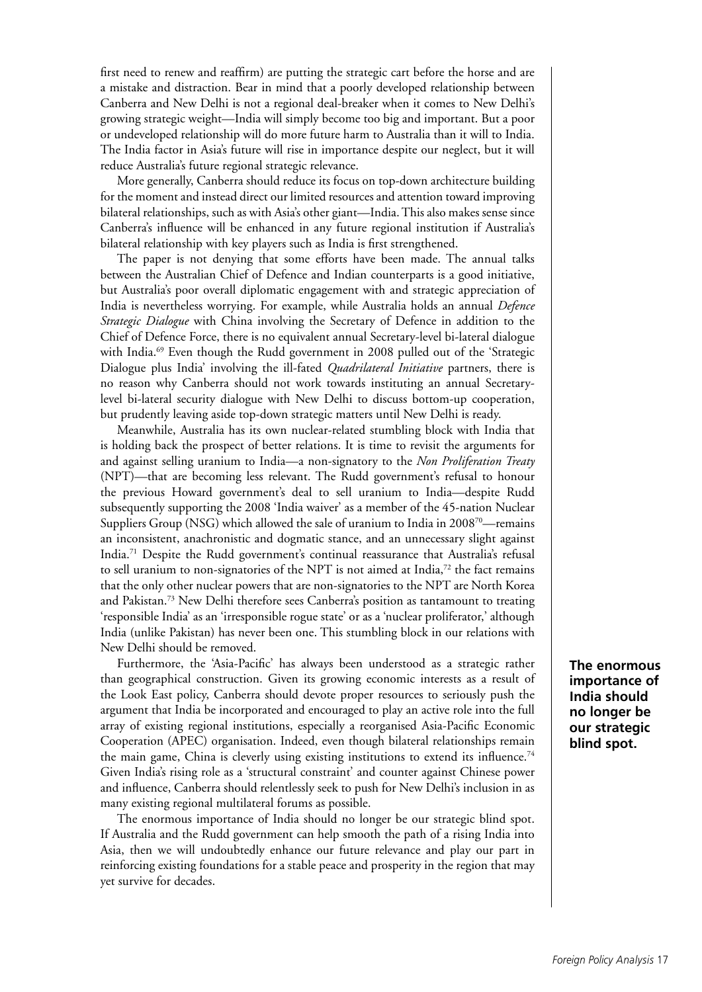first need to renew and reaffirm) are putting the strategic cart before the horse and are a mistake and distraction. Bear in mind that a poorly developed relationship between Canberra and New Delhi is not a regional deal-breaker when it comes to New Delhi's growing strategic weight—India will simply become too big and important. But a poor or undeveloped relationship will do more future harm to Australia than it will to India. The India factor in Asia's future will rise in importance despite our neglect, but it will reduce Australia's future regional strategic relevance.

More generally, Canberra should reduce its focus on top-down architecture building for the moment and instead direct our limited resources and attention toward improving bilateral relationships, such as with Asia's other giant—India. This also makes sense since Canberra's influence will be enhanced in any future regional institution if Australia's bilateral relationship with key players such as India is first strengthened.

The paper is not denying that some efforts have been made. The annual talks between the Australian Chief of Defence and Indian counterparts is a good initiative, but Australia's poor overall diplomatic engagement with and strategic appreciation of India is nevertheless worrying. For example, while Australia holds an annual *Defence Strategic Dialogue* with China involving the Secretary of Defence in addition to the Chief of Defence Force, there is no equivalent annual Secretary-level bi-lateral dialogue with India.<sup>69</sup> Even though the Rudd government in 2008 pulled out of the 'Strategic Dialogue plus India' involving the ill-fated *Quadrilateral Initiative* partners, there is no reason why Canberra should not work towards instituting an annual Secretarylevel bi-lateral security dialogue with New Delhi to discuss bottom-up cooperation, but prudently leaving aside top-down strategic matters until New Delhi is ready.

Meanwhile, Australia has its own nuclear-related stumbling block with India that is holding back the prospect of better relations. It is time to revisit the arguments for and against selling uranium to India—a non-signatory to the *Non Proliferation Treaty* (NPT)—that are becoming less relevant. The Rudd government's refusal to honour the previous Howard government's deal to sell uranium to India—despite Rudd subsequently supporting the 2008 'India waiver' as a member of the 45-nation Nuclear Suppliers Group (NSG) which allowed the sale of uranium to India in 2008<sup>70</sup>—remains an inconsistent, anachronistic and dogmatic stance, and an unnecessary slight against India.71 Despite the Rudd government's continual reassurance that Australia's refusal to sell uranium to non-signatories of the NPT is not aimed at India, $72$  the fact remains that the only other nuclear powers that are non-signatories to the NPT are North Korea and Pakistan.73 New Delhi therefore sees Canberra's position as tantamount to treating 'responsible India' as an 'irresponsible rogue state' or as a 'nuclear proliferator,' although India (unlike Pakistan) has never been one. This stumbling block in our relations with New Delhi should be removed.

Furthermore, the 'Asia-Pacific' has always been understood as a strategic rather than geographical construction. Given its growing economic interests as a result of the Look East policy, Canberra should devote proper resources to seriously push the argument that India be incorporated and encouraged to play an active role into the full array of existing regional institutions, especially a reorganised Asia-Pacific Economic Cooperation (APEC) organisation. Indeed, even though bilateral relationships remain the main game, China is cleverly using existing institutions to extend its influence.<sup>74</sup> Given India's rising role as a 'structural constraint' and counter against Chinese power and influence, Canberra should relentlessly seek to push for New Delhi's inclusion in as many existing regional multilateral forums as possible.

The enormous importance of India should no longer be our strategic blind spot. If Australia and the Rudd government can help smooth the path of a rising India into Asia, then we will undoubtedly enhance our future relevance and play our part in reinforcing existing foundations for a stable peace and prosperity in the region that may yet survive for decades.

**The enormous importance of India should no longer be our strategic blind spot.**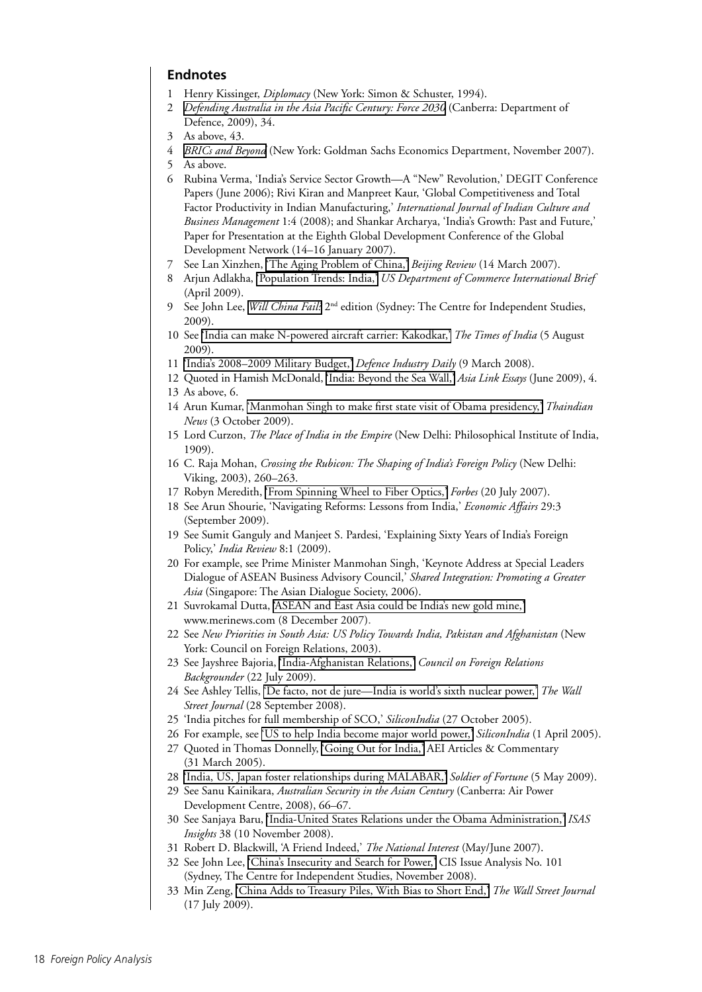# **Endnotes**

- 1 Henry Kissinger, *Diplomacy* (New York: Simon & Schuster, 1994).
- 2 *[Defending Australia in the Asia Pacific Century: Force 2030](http://www.defence.gov.au/whitepaper/docs/defence_white_paper_2009.pdf)* (Canberra: Department of Defence, 2009), 34.
- 3 As above, 43.
- 4 *[BRICs and Beyond](http://www2.goldmansachs.com/ideas/brics/BRICs-and-Beyond.html)* (New York: Goldman Sachs Economics Department, November 2007).
- 5 As above.
- 6 Rubina Verma, 'India's Service Sector Growth—A "New" Revolution,' DEGIT Conference Papers (June 2006); Rivi Kiran and Manpreet Kaur, 'Global Competitiveness and Total Factor Productivity in Indian Manufacturing,' *International Journal of Indian Culture and Business Management* 1:4 (2008); and Shankar Archarya, 'India's Growth: Past and Future,' Paper for Presentation at the Eighth Global Development Conference of the Global Development Network (14–16 January 2007).
- 7 See Lan Xinzhen, ['The Aging Problem of China,'](http://www.bjreview.com.cn/lianghui/txt/2007-03/14/content_59110.htm) *Beijing Review* (14 March 2007).
- 8 Arjun Adlakha, ['Population Trends: India,'](http://www.census.gov/ipc/prod/ib-9701.pdf) *US Department of Commerce International Brief* (April 2009).
- 9 See John Lee, *[Will China Fail?](https://www.sslcis.org/cart/index.php?main_page=product_info&products_id=116)* 2nd edition (Sydney: The Centre for Independent Studies, 2009).
- 10 See ['India can make N-powered aircraft carrier: Kakodkar,'](http://timesofindia.indiatimes.com/india/India-can-make-N-powered-aircraft-carrier-Kakodkar/articleshow/4858274.cms) *The Times of India* (5 August 2009).
- 11 ['India's 2008–2009 Military Budget,'](http://www.defenseindustrydaily.com/Indias-2008-2009-Military-Budget-04780/) *Defence Industry Daily* (9 March 2008).
- 12 Quoted in Hamish McDonald, ['India: Beyond the Sea Wall,'](http://www.asialink.unimelb.edu.au/__data/assets/pdf_file/0019/21673/Hamish_McDonald_India_essay.pdf) *Asia Link Essays* (June 2009), 4.
- 13 As above, 6.
- 14 Arun Kumar, ['Manmohan Singh to make first state visit of Obama presidency,'](http://www.thaindian.com/newsportal/world-news/manmohan-singh-to-make-first-state-visit-of-obama-presidency_100255374.html) *Thaindian News* (3 October 2009).
- 15 Lord Curzon, *The Place of India in the Empire* (New Delhi: Philosophical Institute of India, 1909).
- 16 C. Raja Mohan, *Crossing the Rubicon: The Shaping of India's Foreign Policy* (New Delhi: Viking, 2003), 260–263.
- 17 Robyn Meredith, ['From Spinning Wheel to Fiber Optics,'](http://www.forbes.com/2007/07/19/elephant-dragon-meredith-oped-cz_rm_0720dragonthree.html) *Forbes* (20 July 2007).
- 18 See Arun Shourie, 'Navigating Reforms: Lessons from India,' *Economic Affairs* 29:3 (September 2009).
- 19 See Sumit Ganguly and Manjeet S. Pardesi, 'Explaining Sixty Years of India's Foreign Policy,' *India Review* 8:1 (2009).
- 20 For example, see Prime Minister Manmohan Singh, 'Keynote Address at Special Leaders Dialogue of ASEAN Business Advisory Council,' *Shared Integration: Promoting a Greater Asia* (Singapore: The Asian Dialogue Society, 2006).
- 21 Suvrokamal Dutta, ['ASEAN and East Asia could be India's new gold mine,'](http://www.merinews.com/catFull.jsp?articleID=128408) www.merinews.com (8 December 2007)**.**
- 22 See *New Priorities in South Asia: US Policy Towards India, Pakistan and Afghanistan* (New York: Council on Foreign Relations, 2003).
- 23 See Jayshree Bajoria, ['India-Afghanistan Relations,'](http://www.cfr.org/publication/17474/indiaafghanistan_relations.html) *Council on Foreign Relations Backgrounder* (22 July 2009).
- 24 See Ashley Tellis, ['De facto, not de jure—India is world's sixth nuclear power,'](http://www.livemint.com/2008/09/28220522/De-facto-not-de-jure--India.html) *The Wall Street Journal* (28 September 2008).
- 25 'India pitches for full membership of SCO,' *SiliconIndia* (27 October 2005).
- 26 For example, see ['US to help India become major world power,'](http://www.siliconindia.com/shownews/US_to_help_India_become_Major_World_Power-nid-27539.html) *SiliconIndia* (1 April 2005).
- 27 Quoted in Thomas Donnelly, ['Going Out for India,'](http://www.aei.org/article/22224) AEI Articles & Commentary (31 March 2005).
- 28 ['India, US, Japan foster relationships during MALABAR,'](http://www.sofmag.com/wp/2009/05/india-japan-us-foster-relationships-during-malabar/) *Soldier of Fortune* (5 May 2009).
- 29 See Sanu Kainikara, *Australian Security in the Asian Century* (Canberra: Air Power Development Centre, 2008), 66–67.
- 30 See Sanjaya Baru, ['India-United States Relations under the Obama Administration,'](http://www.isn.ethz.ch/isn/Digital-Library/Publications/Detail/?ots591=CAB359A3-9328-19CC-A1D2-8023E646B22C&lng=en&id=93807) *ISAS Insights* 38 (10 November 2008).
- 31 Robert D. Blackwill, 'A Friend Indeed,' *The National Interest* (May/June 2007).
- 32 See John Lee, ['China's Insecurity and Search for Power,'](http://www.cis.org.au/issue_analysis/IA101/ia101.pdf) CIS Issue Analysis No. 101 (Sydney, The Centre for Independent Studies, November 2008).
- 33 Min Zeng, ['China Adds to Treasury Piles, With Bias to Short End,'](http://online.wsj.com/article/SB124779045602055085.html) *The Wall Street Journal* (17 July 2009).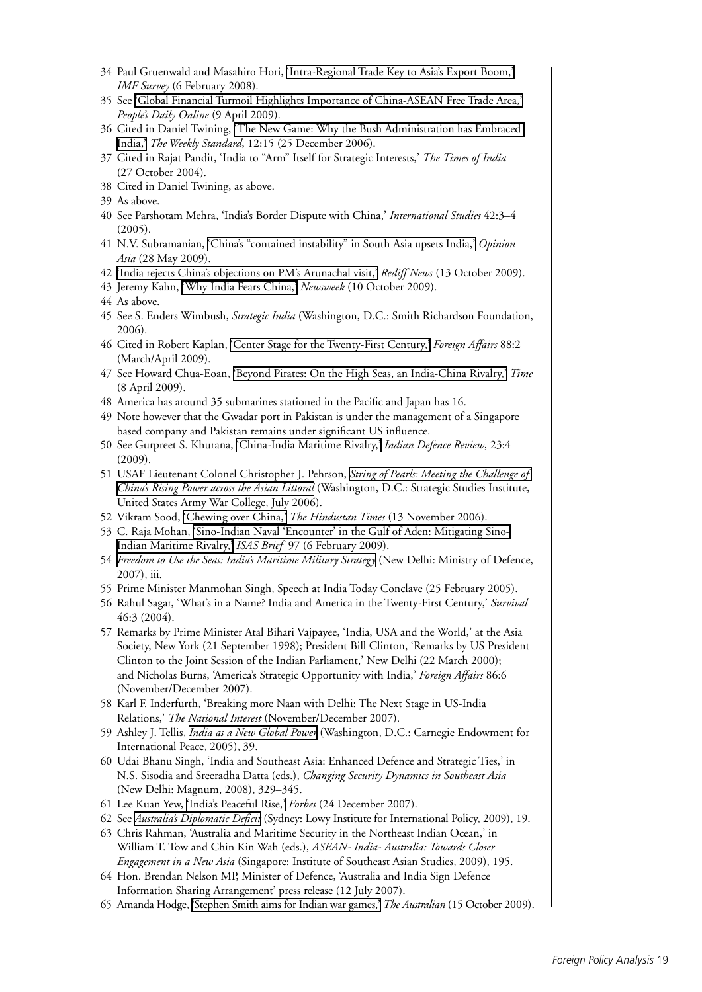- 34 Paul Gruenwald and Masahiro Hori, ['Intra-Regional Trade Key to Asia's Export Boom,'](http://www.imf.org/external/pubs/ft/survey/so/2008/CAR02608A.htm) *IMF Survey* (6 February 2008).
- 35 See ['Global Financial Turmoil Highlights Importance of China-ASEAN Free Trade Area,'](http://english.people.com.cn/90002/96867/96872/6633255.html) *People's Daily Online* (9 April 2009).
- 36 Cited in Daniel Twining, ['The New Game: Why the Bush Administration has Embraced](http://www.weeklystandard.com/Content/Public/Articles/000/000/013/094gntoy.asp)  [India,'](http://www.weeklystandard.com/Content/Public/Articles/000/000/013/094gntoy.asp) *The Weekly Standard*, 12:15 (25 December 2006).
- 37 Cited in Rajat Pandit, 'India to "Arm" Itself for Strategic Interests,' *The Times of India* (27 October 2004).
- 38 Cited in Daniel Twining, as above.
- 39 As above.
- 40 See Parshotam Mehra, 'India's Border Dispute with China,' *International Studies* 42:3–4  $(2005).$
- 41 N.V. Subramanian, ['China's "contained instability" in South Asia upsets India,'](http://opinionasia.com/ContainedInstbility) *Opinion Asia* (28 May 2009).
- 42 ['India rejects China's objections on PM's Arunachal visit,'](http://news.rediff.com/report/2009/oct/13/china-protests-pms-visit-to-arunachal.htm) *Rediff News* (13 October 2009).
- 43 Jeremy Kahn, ['Why India Fears China,'](http://www.newsweek.com/id/217088) *Newsweek* (10 October 2009).
- 44 As above.
- 45 See S. Enders Wimbush, *Strategic India* (Washington, D.C.: Smith Richardson Foundation, 2006).
- 46 Cited in Robert Kaplan, ['Center Stage for the Twenty-First Century,'](http://www.foreignaffairs.com/articles/64832/robert-d-kaplan/center-stage-for-the-21st-century) *Foreign Affairs* 88:2 (March/April 2009).
- 47 See Howard Chua-Eoan, ['Beyond Pirates: On the High Seas, an India-China Rivalry,'](http://www.time.com/time/world/article/0,8599,1890251,00.html) *Time* (8 April 2009).
- 48 America has around 35 submarines stationed in the Pacific and Japan has 16.
- 49 Note however that the Gwadar port in Pakistan is under the management of a Singapore based company and Pakistan remains under significant US influence.
- 50 See Gurpreet S. Khurana, ['China-India Maritime Rivalry,'](http://www.indiandefencereview.com/2009/04/china-india-maritime-rivalry.html) *Indian Defence Review*, 23:4 (2009).
- 51 USAF Lieutenant Colonel Christopher J. Pehrson, *[String of Pearls: Meeting the Challenge of](http://www.strategicstudiesinstitute.army.mil/pdffiles/PUB721.pdf)  [China's Rising Power across the Asian Littoral](http://www.strategicstudiesinstitute.army.mil/pdffiles/PUB721.pdf)* (Washington, D.C.: Strategic Studies Institute, United States Army War College, July 2006).
- 52 Vikram Sood, ['Chewing over China,'](http://www.hindustantimes.com/News-Feed/nm19/Chewing-over-China/Article1-172369.aspx) *The Hindustan Times* (13 November 2006).
- 53 C. Raja Mohan, ['Sino-Indian Naval 'Encounter' in the Gulf of Aden: Mitigating Sino-](http://www.isn.ethz.ch/isn/Digital-Library/Publications/Detail/?ots591=0C54E3B3-1E9C-BE1E-2C24-A6A8C7060233&lng=en&id=96483)[Indian Maritime Rivalry,'](http://www.isn.ethz.ch/isn/Digital-Library/Publications/Detail/?ots591=0C54E3B3-1E9C-BE1E-2C24-A6A8C7060233&lng=en&id=96483) *ISAS Brief* 97 (6 February 2009).
- 54 *[Freedom to Use the Seas: India's Maritime Military Strategy](http://indiannavy.nic.in/maritime_strat.pdf)* (New Delhi: Ministry of Defence, 2007), iii.
- 55 Prime Minister Manmohan Singh, Speech at India Today Conclave (25 February 2005).
- 56 Rahul Sagar, 'What's in a Name? India and America in the Twenty-First Century,' *Survival*  46:3 (2004).
- 57 Remarks by Prime Minister Atal Bihari Vajpayee, 'India, USA and the World,' at the Asia Society, New York (21 September 1998); President Bill Clinton, 'Remarks by US President Clinton to the Joint Session of the Indian Parliament,' New Delhi (22 March 2000); and Nicholas Burns, 'America's Strategic Opportunity with India,' *Foreign Affairs* 86:6 (November/December 2007).
- 58 Karl F. Inderfurth, 'Breaking more Naan with Delhi: The Next Stage in US-India Relations,' *The National Interest* (November/December 2007).
- 59 Ashley J. Tellis, *[India as a New Global Power](http://www.carnegieendowment.org/publications/?fa=view&id=17079)* (Washington, D.C.: Carnegie Endowment for International Peace, 2005), 39.
- 60 Udai Bhanu Singh, 'India and Southeast Asia: Enhanced Defence and Strategic Ties,' in N.S. Sisodia and Sreeradha Datta (eds.), *Changing Security Dynamics in Southeast Asia* (New Delhi: Magnum, 2008), 329–345.
- 61 Lee Kuan Yew, ['India's Peaceful Rise,'](http://www.forbes.com/part_forbes/2007/1224/033.html) *Forbes* (24 December 2007).
- 62 See *[Australia's Diplomatic Deficit](http://www.lowyinstitute.org/Publication.asp?pid=996)* (Sydney: Lowy Institute for International Policy, 2009), 19.
- 63 Chris Rahman, 'Australia and Maritime Security in the Northeast Indian Ocean,' in William T. Tow and Chin Kin Wah (eds.), *ASEAN- India- Australia: Towards Closer Engagement in a New Asia* (Singapore: Institute of Southeast Asian Studies, 2009), 195.
- 64 Hon. Brendan Nelson MP, Minister of Defence, 'Australia and India Sign Defence Information Sharing Arrangement' press release (12 July 2007).
- 65 Amanda Hodge, ['Stephen Smith aims for Indian war games,'](http://www.theaustralian.news.com.au/story/0,,26211954-31477,00.html) *The Australian* (15 October 2009).